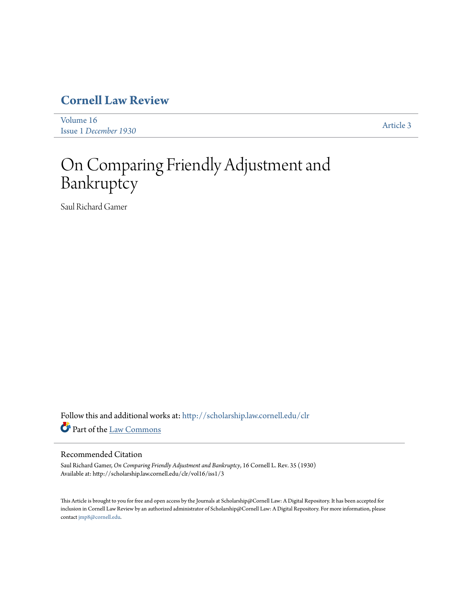# **[Cornell Law Review](http://scholarship.law.cornell.edu/clr?utm_source=scholarship.law.cornell.edu%2Fclr%2Fvol16%2Fiss1%2F3&utm_medium=PDF&utm_campaign=PDFCoverPages)**

[Volume 16](http://scholarship.law.cornell.edu/clr/vol16?utm_source=scholarship.law.cornell.edu%2Fclr%2Fvol16%2Fiss1%2F3&utm_medium=PDF&utm_campaign=PDFCoverPages) Issue 1 *[December 1930](http://scholarship.law.cornell.edu/clr/vol16/iss1?utm_source=scholarship.law.cornell.edu%2Fclr%2Fvol16%2Fiss1%2F3&utm_medium=PDF&utm_campaign=PDFCoverPages)* [Article 3](http://scholarship.law.cornell.edu/clr/vol16/iss1/3?utm_source=scholarship.law.cornell.edu%2Fclr%2Fvol16%2Fiss1%2F3&utm_medium=PDF&utm_campaign=PDFCoverPages)

# On Comparing Friendly Adjustment and Bankruptcy

Saul Richard Gamer

Follow this and additional works at: [http://scholarship.law.cornell.edu/clr](http://scholarship.law.cornell.edu/clr?utm_source=scholarship.law.cornell.edu%2Fclr%2Fvol16%2Fiss1%2F3&utm_medium=PDF&utm_campaign=PDFCoverPages) Part of the [Law Commons](http://network.bepress.com/hgg/discipline/578?utm_source=scholarship.law.cornell.edu%2Fclr%2Fvol16%2Fiss1%2F3&utm_medium=PDF&utm_campaign=PDFCoverPages)

# Recommended Citation

Saul Richard Gamer, *On Comparing Friendly Adjustment and Bankruptcy*, 16 Cornell L. Rev. 35 (1930) Available at: http://scholarship.law.cornell.edu/clr/vol16/iss1/3

This Article is brought to you for free and open access by the Journals at Scholarship@Cornell Law: A Digital Repository. It has been accepted for inclusion in Cornell Law Review by an authorized administrator of Scholarship@Cornell Law: A Digital Repository. For more information, please contact [jmp8@cornell.edu.](mailto:jmp8@cornell.edu)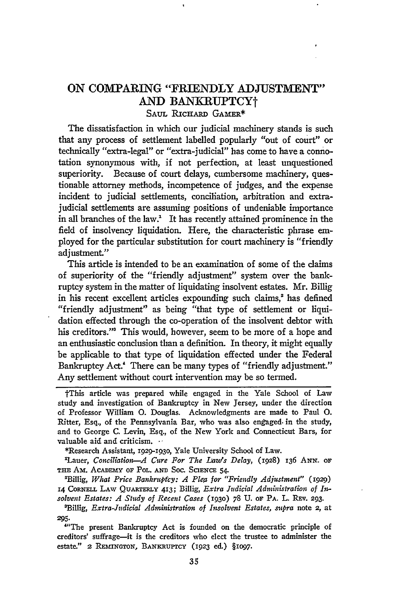# ON COMPARING "FRIENDLY ADJUSTMENT" AND BANKRUPTCYt **SAUL RICHARD** GAMER\*

The dissatisfaction in which our judicial machinery stands is such that any process of settlement labelled popularly "out of court" or technically "extra-legal" or "extra-judicial" has come to have a connotation synonymous with, if not perfection, at least unquestioned superiority. Because of court delays, cumbersome machinery, questionable attorney methods, incompetence of judges, and the expense incident to judicial settlements, conciliation, arbitration and extrajudicial settlements are assuming positions of undeniable importance in all branches of the law.<sup>2</sup> It has recently attained prominence in the field of insolvency liquidation. Here, the characteristic phrase employed for the particular substitution for court machinery is "friendly adjustment."

This article is intended to be an examination of some of the claims of superiority of the "friendly adjustment" system over the bankruptcy system in the matter of liquidating insolvent estates. Mr. Billig in his recent excellent articles expounding such claims,<sup>2</sup> has defined "friendly adjustment" as being "that type of settlement or liquidation effected through the co-operation of the insolvent debtor with his creditors."<sup>3</sup> This would, however, seem to be more of a hope and an enthusiastic conclusion than a definition. In theory, it might equally be applicable to that type of liquidation effected under the Federal Bankruptcy Act.' There can be many types of "friendly adjustment." Any settlement without court intervention may be so termed.

\*Research Assistant, 1929-193o, Yale University School of Law.

'Lauer, *Conciliation- Cure For The Luw's Delay,* (1928) **136 ANN. OF THE** Am. **AcADEmY** OF PoL. **AND** Soc. **SCMENCE** 54.

'Billig, *What Price Bankrupfcy: A Plea for "Friendly Adjustment"* (1929) L4 CORNELL LAw **QUARTERLY** 413; Billig, *Extra Judicial Administration of Insolvent Estates: A Study of Recent Cases* **(1930) 78** U. OF PA. L. **REv. 293.**

tThis article was prepared while engaged in the Yale School of Law study and investigation of Bankruptcy in New Jersey, under the direction of Professor William **0.** Douglas. Acknowledgments are made to Paul **0.** Ritter, Esq., of the Pennsylvania Bar, who was also engaged. in the study, and to George C. Levin, Esq., of the New York and Connecticut Bars, for valuable aid and criticism.

<sup>&#</sup>x27;Billig, *Extra-Judicial Administration of Insolvent Estates, supra* note 2, at **295.**

<sup>&</sup>quot;'The present Bankruptcy Act is founded on the democratic principle of creditors' suffrage-it is the creditors who elect the trustee to administer the estate." **2 REmNGTON,** BANKRUPTCY **(1923** ed.) §1097.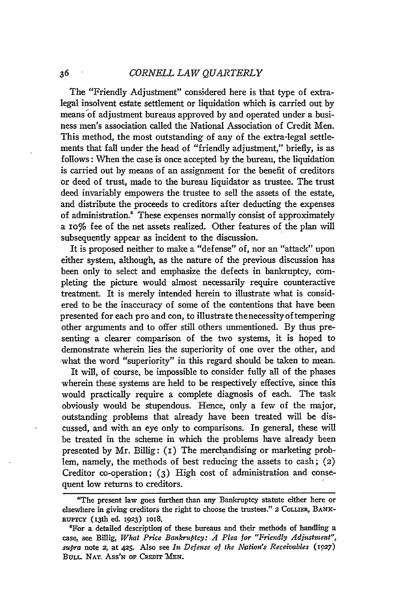The "Friendly Adjustment" considered here is that type of extralegal insolvent estate settlement or liquidation which is carried out by means of adjustment bureaus approved by and operated under a business men's association called the National Association of Credit Men. This method, the most outstanding of any of the extra-legal settlements that fall under the head of "friendly adjustment," briefly, is as follows: When the case is once accepted by the bureau, the liquidation is carried out by means of an assignment for the benefit of creditors or deed of trust, made to the bureau liquidator as trustee. The trust deed invariably empowers the trustee to sell the assets of the estate, and distribute the proceeds to creditors after deducting the expenses of administration.<sup>5</sup> These expenses normally consist of approximately a io% fee of the net assets realized. Other features of the plan will subsequently appear as incident to the discussion.

It is proposed neither to make a "defense" of, nor an "attack" upon either system, although, as the nature of the previous discussion has been only to select and emphasize the defects in bankruptcy, completing the picture would almost necessarily require counteractive treatment. It is merely intended herein to illustrate what is considered to be the inaccuracy of some of the contentions that have been presented for each pro and con, to illustrate thenecessity of tempering other arguments and to offer still others unmentioned. By thus presenting a clearer comparison of the two systems, it is hoped to demonstrate wherein lies the superiority of one over the other, and what the word "superiority" in this regard should be taken to mean.

It will, of course, be impossible to consider fully all of the phases wherein these systems are held to be respectively effective, since this would practically require a complete diagnosis of each. The task obviously would be stupendous. Hence, only a few of the major, outstanding problems that already have been treated will be discussed, and with an eye only to comparisons. In general, these will be treated in the scheme in which the problems have already been presented by Mr. Billig: **(i)** The merchandising or marketing problem, namely, the methods of best reducing the assets to cash; (2) Creditor co-operation; (3) High cost of administration and consequent low returns to creditors.

<sup>&</sup>quot;The present law goes further than any Bankruptcy statute either here or elsewhere in giving creditors the right to choose the trustees." **2** COLLIER, **BANK-**R~urcy (I3th ed. **1923)** ioi8.

<sup>&</sup>lt;sup>5</sup>For a detailed description of these bureaus and their methods of handling a case, see Billig, *What Price Bankruptcy: A4 Plea for "Friendly Adjustment",* supra note 2, at 425. Also see *In Defense of the Nation's Receivables* (1027) BULL. NAT. Ass'N OF CREDIT MEN.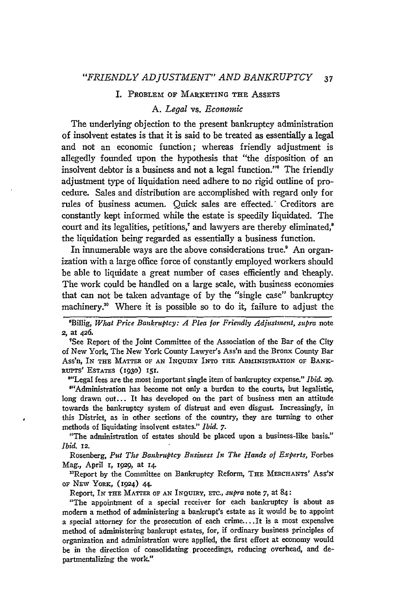#### I. PROBLEM OF MARKETING THE ASSETS

#### *A. Legal* vs. *Economic*

The underlying objection to the present bankruptcy administration of insolvent estates is that it is said to be treated as essentially a legal and not an economic function; whereas friendly adjustment is allegedly founded upon the hypothesis that "the disposition of an insolvent debtor is a business and not a legal function."' The friendly adjustment type of liquidation need adhere to no rigid outline of procedure. Sales and distribution are accomplished with regard only for rules of business acumen. Quick sales are effected.\* Creditors are constantly kept informed while the estate is speedily liquidated. The court and its legalities, petitions,<sup>7</sup> and lawyers are thereby eliminated,<sup>8</sup> the liquidation being regarded as essentially a business function.

In innumerable ways are the above considerations true.' An organization with a large office force of constantly employed workers should be able to liquidate a great number of cases efficiently and cheaply. The work could be handled on a large scale, with business economies that can not be taken advantage of by the "single case" bankruptcy machinery.<sup>10</sup> Where it is possible so to do it, failure to adjust the

<sup>6</sup>Billig, *What Price Bankruptcy: A Plea for Friendly Adjustment, supra note* **2,** at **426.**

"See Report of the Joint Committee of the Association of the Bar of the City of New York, The New York County Lawyer's Ass'n and the Bronx County Bar Ass'n, IN **THE** MATTER OF **AN INQUmY INTO** THE ADMINISTRATION OF BANK-RUPTS' ESTATES (i930) **151.**

"'Legal fees are the most important single item of bankruptcy expense." *Ibid. 29.*

<sup>9"</sup>Administration has become not only a burden to the courts, but legalistic, long drawn out... It has developed on the part of business men an attitude towards the bankruptcy system of distrust and even disgust. Increasingly, in this District, as in other sections of the country, they are turning to other methods of liquidating insolvent estates." *Ibid. 7.*

"The administration of estates should be placed upon a business-like basis." *Ibid. 12.*

Rosenberg, *Put The Bankruptcy Business In The Hands of Experts,* Forbes Mag., April *I, 1929,* at x4.

<sup>10</sup>Report by the Committee on Bankruptcy Reform, THE MERCHANTS' ASS'N OF NEW YORK, (924) **44.**

Report, IN **THE** MATTER OF **AN** INQUIRY, ETC., *supra* note *7,* at 84:

"The appointment of a special receiver for each bankruptcy is about as modern a method of administering a bankrupt's estate as it would be to appoint a special attorney for the prosecution of each crime....It is a most expensive method of administering bankrupt estates, for, if ordinary business principles of organization and administration were applied, the first effort at economy would be in the direction of consolidating proceedings, reducing overhead, and departmentalizing the work."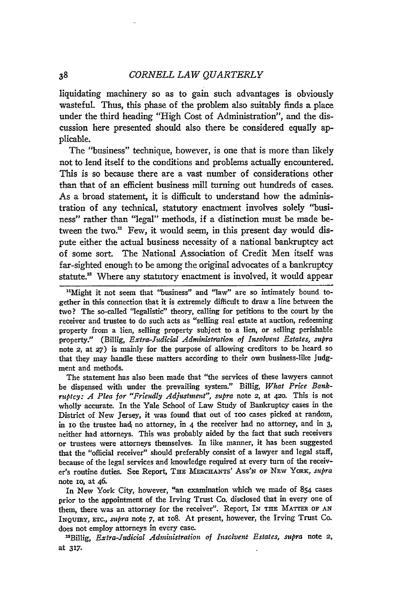38

liquidating machinery so as to gain such advantages is obviously wasteful. Thus, this phase of the problem also suitably finds a place under the third heading "High Cost of Administration", and the discussion here presented should also there be considered equally applicable.

The "business" technique, however, is one that is more than likely not to lend itself to the conditions and problems actually encountered. This is so because there are a vast number of considerations other than that of an efficient business mill turning out hundreds of cases. As a broad statement, it is difficult to understand how the administration of any technical, statutory enactment involves solely "business" rather than "legal" methods, if a distinction must be made between the two.<sup>11</sup> Few, it would seem, in this present day would dispute either the actual business necessity of a national bankruptcy act of some sort. The National Association of Credit Men itself was far-sighted enough to be among the original advocates of a bankruptcy statute.<sup>12</sup> Where any statutory enactment is involved, it would appear

The statement has also been made that "the services of these lawyers cannot be dispensed with under the prevailing system." Billig, *What Price Bankruptcy: A Plea for "Friendly Adjustment", supra* note 2, at 42o. This is not wholly accurate. In the Yale School of Law Study of Bankruptcy cases in the District of New Jersey, it was found that out of ioo cases picked at random, in **1o** the trustee hadj no attorney, in 4 the receiver had no attorney, and in **3,** neither had attorneys. This was probably aided by the fact that such receivers or trustees were attorneys themselves. In like manner, it has been suggested that the "official receiver" should preferably consist of a lawyer and legal staff, because of the legal services and knowledge required at every turn of the receiver's routine duties. See Report, **THE** MEaCHAN s' **Ass'N** OF NEv **YORK,** *supra* note io, at 46.

In New York City, however, "an examination which we made **of** 854 cases prior to the appointment of the Irving Trust Co. disclosed that in every one of them, there was an attorney for the receiver". Report, IN **THE** MATTER OF **AN IxQUIRY, ETc.,** *spra* note **7,** at io8. At present, however, the Irving Trust Co. does not employ attorneys in every case.

"Billig, *Extra-Judicial Administration of Insolvent Estates, supra* note **2,** at **317.**

<sup>&</sup>quot;Might **it** not seem that "business" and "law" are so intimately bound together in this connection that it is extremely difficult to draw a line between the two? The so-called "legalistic" theory, calling for petitions to the court **by** the receiver and trustee to do such acts as "selling real estate at auction, redeeming property from a lien, selling property subject to a lien, or selling perishable property." (Billig, *Extra-Judicial Administration of Insolvent Estates, supra* note **2,** at **27)** is mainly for the purpose of allowing creditors to be heard so that they may handle these matters according to their own business-like judgment and methods.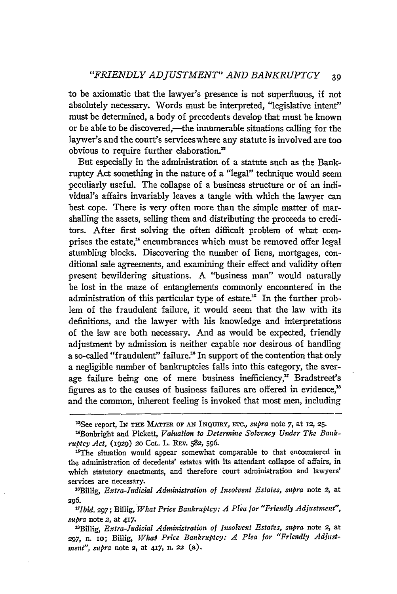to be axiomatic that the lawyer's presence is not superfluous, if not absolutely necessary. Words must be interpreted, "legislative intent" must be determined, a body of precedents develop that must be known or be able to be discovered.—the innumerable situations calling for the laywer's and the court's services where any statute is involved are too obvious to require further elaboration."

But especially in the administration of a statute such as the Bankruptcy Act something in the nature of a "legal" technique would seem peculiarly useful. The collapse of a business structure or of an individual's affairs invariably leaves a tangle with which the lawyer can best cope. There is very often more than the simple matter of marshalling the assets, selling them and distributing the proceeds to creditors. After first solving the often difficult problem of what comprises the estate,<sup>14</sup> encumbrances which must be removed offer legal stumbling blocks. Discovering the number of liens, mortgages, conditional sale agreements, and examining their effect and validity often present bewildering situations. A "business man" would naturally be lost in the maze of entanglements commonly encountered in the administration of this particular type of estate.<sup>15</sup> In the further problem of the fraudulent failure, it would seem that the law with its definitions, and the lawyer with his knowledge and interpretations of the law are both necessary. And as would be expected, friendly adjustment by admission is neither capable nor desirous of handling a so-called "fraudulent" failure." In support of the contention that only a negligible number of bankruptcies falls into this category, the average failure being one of mere business inefficiency," Bradstreet's figures as to the causes of business failures are offered in evidence,' and the common, inherent feeling is invoked that most men, including

*17Ibid.* **297;** Billig, *What Price Bankruptcy: A Plea for "Friendly Adjustment", supra* note **2,** at 417.

<sup>&</sup>lt;sup>14</sup>See report, In THE MATTER OF AN INQUIRY, ETC., *supra* note 7, at 12, 25.

<sup>&</sup>lt;sup>14</sup>Bonbright and Pickett, Valuation to Determine Solvency Under The Bank*ruptcy Act,* (1929) **20** CoL. L. REv. **582,** 596.

<sup>&</sup>lt;sup>15</sup>The situation would appear somewhat comparable to that encountered in the administration of decedents' estates with its attendant collapse of affairs, in which statutory enactments, and therefore court administration and lawyers' services are necessary.

<sup>&</sup>quot;Billig, *Extra-Judicial Administration of Insolvent Estates, supra* note 2, at 296.

<sup>&</sup>quot;sBillig, *Extra-Judicial Administration of Insolvent Estates, supra* note 2, at 297, n. 10; Billig, What Price Bankruptcy: A Plea for "Friendly Adjust*inent", supra* note 2, at 417, n. **22** (a).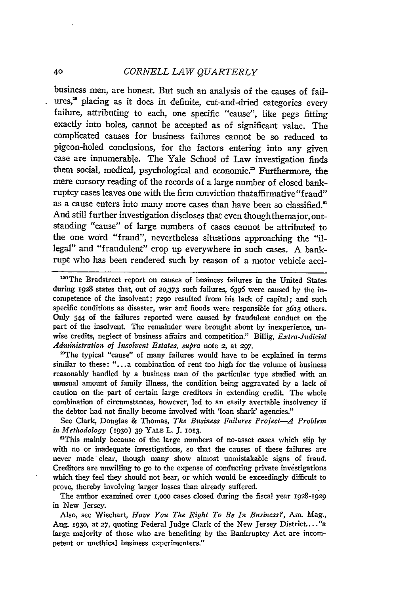#### 40 *CORNELL LAW QUARTERLY*

business men, are honest. But such an analysis of the causes of failures,<sup>10</sup> placing as it does in definite, cut-and-dried categories every failure, attributing to each, one specific "cause", like pegs fitting exactly into holes, cannot be accepted as of significant value. The complicated causes for business failures cannot be so reduced to pigeon-holed conclusions, for the factors entering into any given case are innumerable. The Yale School of Law investigation finds them social, medical, psychological and economic.<sup>25</sup> Furthermore, the mere cursory reading of the records of a large number of closed bankruptcy cases leaves one with the firm conviction thataffirmative "fraud" as a cause enters into many more cases than have been so classified.<sup>21</sup> And still further investigation discloses that even thoughthemajor, outstanding "cause" of large numbers of cases cannot be attributed to the one word "fraud", nevertheless situations approaching the "illegal" and "fraudulent" crop up everywhere in such cases. A bankrupt who has been rendered such by reason of a motor vehicle acci-

<sup>104</sup>The Bradstreet report on causes of business failures in the United States during 1928 states that, out of 20,373 such failures, 6396 were caused by the incompetence of the insolvent; 7290 resulted from his lack of capital; and such specific conditions as disaster, war and fioods were responsible for 3613 others. Only 544 of the failures reported were caused by fraudulent conduct on the part of the insolvent. The remainder were brought about by inexperience, unwise credits, neglect of business affairs and competition." Billig, *Extra-Judicial Administration of Insolvent Estates, supra* note 2, at **297.**

"The typical "cause" of many failures would have to **be** explained in terms similar to these: "...a combination of rent too high for the volume of business reasonably handled **by** a business man of the particular type studied with an unusual amount of family illness, the condition being aggravated **by** a lack of caution on the part of certain large creditors in extending credit. The whole combination of circumstances, however, led to an easily avertable insolvency if the debtor had not finally become involved with 'loan shark' agencies."

See Clark, Douglas **&** Thomas, *The Business Failures Project-A Problem in Methodology* **(930) 39** YALE L. **J. 1013.**

'This mainly because of the large numbers of no-asset cases which slip **by** with no or inadequate investigations, so that the causes of these failures are never made clear, though many show almost ummistakable signs of fraud. Creditors are unwilling to **go** to the expense of conducting private investigations which they feel they should not bear, or which would be exceedingly difficult to prove, thereby involving larger losses than already suffered.

The author examined over i,ooo cases closed during the fiscal year 1928-1929 in New Jersey.

Also, see Wisehart, *Have You The Right To Be In Business?,* Am. Mag., Aug. **i93o,** at 27, quoting Federal Judge Clark of the New Jersey District.... "a large majority of those who are benefiting by the Bankruptcy Act are incompetent or unethical business experimenters."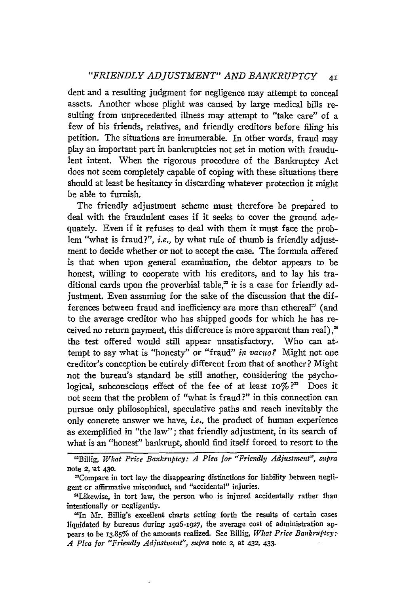### *"FRIENDLY ADJUSTMENT" AND BANKRUPTCY 41*

dent and a resulting judgment for negligence may attempt to conceal assets. Another whose plight was caused by large medical bills resulting from unprecedented illness may attempt to "take care" of a few of his friends, relatives, and friendly creditors before filing his petition. The situations are innumerable. In other words, fraud may play an important part in bankruptcies not set in motion with fraudulent intent. When the rigorous procedure of the Bankruptcy Act does not seem completely capable of coping with these situations there should at least be hesitancy in discarding whatever protection it might be able to furnish.

The friendly adjustment scheme must therefore be prepared to deal with the fraudulent cases if it seeks to cover the ground adequately. Even if it refuses to deal with them it must face the problem "what is fraud?", *i.e.,* by what rule of thumb is friendly adjustment to decide whether or not to accept the case. The formula offered is that when upon general examination, the debtor appears to be honest, willing to cooperate with his creditors, and to lay his traditional cards upon the proverbial table,<sup> $x$ </sup> it is a case for friendly adjustment. Even assuming for the sake of the discussion that the differences between fraud and inefficiency are more than ethereal<sup>23</sup> (and to the average creditor who has shipped goods for which he has received no return payment, this difference is more apparent than real),<sup>24</sup> the test offered would still appear unsatisfactory. Who can attempt to say what is "honesty" or "fraud" *in vacuo?* Might not one creditor's conception be entirely different from that of another? Might not the bureau's standard be still another, considering the psychological, subconscious effect of the fee of at least io% **?'** Does it not seem that the problem of "what is fraud?" in this connection can pursue only philosophical, speculative paths and reach inevitably the only concrete answer we have, *i.e.,* the product of human experience as exemplified in "the law"; that friendly adjustment, in its search of what is an "honest" bankrupt, should find itself forced to resort to the

2Billig, *What Price Bankruptcy: A Plea for "Friendly Adjustment", mtpra* note **2,** at **430.**

<sup>&</sup>lt;sup>23</sup>Compare in tort law the disappearing distinctions for liability between negligent cr affirmative misconduct, and "accidental" injuries. <sup>2</sup>

<sup>1</sup>Likewise, in tort law, the person who is injured accidentally rather than intentionally or negligently.

<sup>2&#</sup>x27;In Mr. Billig's excellent charts setting forth the results of certain cases liquidated **by** bureaus during 1926-1927, the average cost of administration appears to be **13.85%** of the amounts realized. See Billig, *What Price Bankruptcy:- .4 Plea for "Friendly Adjustment", supra* note **2,** at **432,** 433.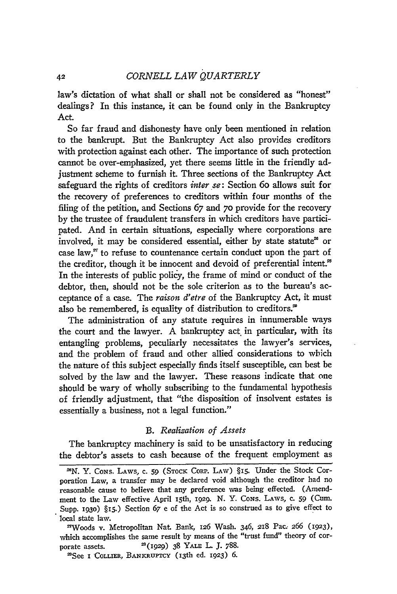law's dictation of what shall or shall not be considered as "honest" dealings? In this instance, it can be found only in the Bankruptcy Act.

So far fraud and dishonesty have only been mentioned in relation to the bankrupt. But the Bankruptcy Act also provides creditors with protection against each other. The importance of such protection cannot be over-emphasized, yet there seems little in the friendly adjustment scheme to furnish it. Three sections of the Bankruptcy Act safeguard the rights of creditors *inter se*: Section 60 allows suit for the recovery of preferences to creditors within four months of the filing of the petition, and Sections 67 and 70 provide for the recovery by the trustee of fraudulent transfers in which creditors have participated. And in certain situations, especially where corporations are involved, it may be considered essential, either by state statute<sup>26</sup> or case law,<sup>27</sup> to refuse to countenance certain conduct upon the part of the creditor, though it be innocent and devoid of preferential intent.<sup>28</sup> In the interests of public policy, the frame of mind or conduct of the debtor, then, should not be the sole criterion as to the bureau's acceptance of a case. The raison *d'etre* of the Bankruptcy Act, it must also be remembered, is equality of distribution to creditors.<sup>29</sup>

The administration of any statute requires in innumerable ways the court and the lawyer. **A** bankruptcy act. in particular, with its entangling problems, peculiarly necessitates the lawyer's services, and the problem of fraud and other allied considerations to wbich the nature of this subject especially finds itself susceptible, can best be solved by the law and the lawyer. These reasons indicate that one should be wary of wholly subscribing to the fundamental hypothesis of friendly adjustment, that "the disposition of insolvent estates is essentially a business, not a legal function."

#### *B. Realization of Assets*

The bankruptcy machinery is said to be unsatisfactory in reducing the debtor's assets to cash because of the frequent employment as

<sup>&</sup>lt;sup>28</sup>N. Y. Cons. Laws, c. 59 (STOCK CORP. Law) §15. Under the Stock Corporation Law, a transfer may be declared void although the creditor had no reasonable cause to believe that any preference was being effected. (Amendment to the Law effective April 15th, 1929. N. Y. CONS. LAWS, c. 59 (Cum. Supp. **1930) §15.)** Section 67 e of the Act is so construed as to give effect to local state law.

<sup>27</sup> Woods v. Metropolitan Nat. Bank, 126 Wash. 346, 218 Pac. 266 (1923), which accomplishes the same result by means of the "trust fund" theory of corporate assets. **2(1929) 38** YALE L. **J.** 788.

ISee **I COLLIER, BANKRUPTCY** (I <sup>3</sup> th ed. **1923) 6.**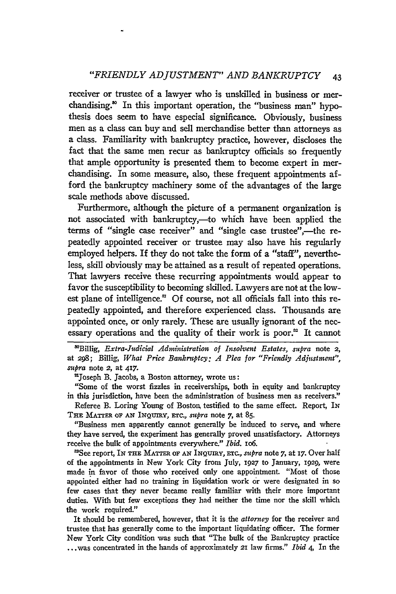receiver or trustee of a lawyer who is unskilled in business or merchandising.<sup>30</sup> In this important operation, the "business man" hypothesis does seem to have especial significance. Obviously, business men as a class can buy and sell merchandise better than attorneys as a class. Familiarity with bankruptcy practice, however, discloses the fact that the same men recur as bankruptcy officials so frequently that ample opportunity is presented them to become expert in merchandising. In some measure, also, these frequent appointments afford the bankruptcy machinery some of the advantages of the large scale methods above discussed.

Furthermore, although the picture of a permanent organization is not associated with bankruptcy,—to which have been applied the terms of "single case receiver" and "single case trustee",—the repeatedly appointed receiver or trustee may also have his regularly employed helpers. If they do not take the form of a "staff", nevertheless, skill obviously may be attained as a result of repeated operations. That lawyers receive these recurring appointments would appear to favor the susceptibility to becoming skilled. Lawyers are not at the lowest plane of intelligence.<sup>31</sup> Of course, not all officials fall into this repeatedly appointed, and therefore experienced class. Thousands are appointed once, or only rarely. These are usually ignorant of the necessary operations and the quality of their work is poor.<sup>32</sup> It cannot

<sup>30</sup>Billig, *Extra-Judicial Administration of Insolvent Estates, supra* note 2, at **298;** Billig, *What Price Bankruptcy: A Plea for "Friendly Adjustment", supra* note *2,* at **417.**

'Joseph B. Jacobs, a Boston attorney, wrote us:

"Some of the worst fizzles in receiverships, both in equity and bankruptcy in this jurisdiction, have been the administration of business men as receivers."

Referee B. Loring Young of Boston, testified to the same effect. Report, IN THE MATTER **OF AN** INQUIRY, **ETC.,** *supra* note *7,* at **85.**

"Business men apparently cannot generally be induced to serve, and where they have served, the experiment has generally proved unsatisfactory. Attorneys receive the bulk of appointments everywhere." *Ibid.* io6.

'See report, IN **THE** MATTER OF **AN** INQuiRY, ETC., *supra* note *7,* at **17.** Over half of the appointments in New York City from July, 1927 to January, 1929, were made in favor of those who received only one appointment "Most of those appointed either had no training in liquidation work or were designated in so few cases that they never became really familiar with their more important duties. With but few exceptions they had neither the time nor the skill which the work required."

It should be remembered, however, that it is the *attorney* for the receiver and trustee that has generally come to the important liquidating officer. The former New York City condition was such that "The bulk of the Bankruptcy practice ... was concentrated in the hands of approximately **21** law firms." *Ibid 4,* In the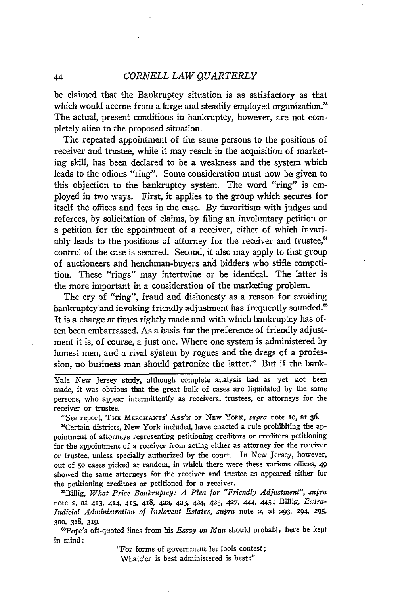#### *CORNELL LAW QUARTERLY*

be claimed that the Bankruptcy situation is as satisfactory as that which would accrue from a large and steadily employed organization.<sup>88</sup> The actual, present conditions in bankruptcy, however, are not completely alien to the proposed situation.

The repeated appointment of the same persons to the positions of receiver and trustee, while it may result in the acquisition of marketing skill, has been declared to be a weakness and the system which leads to the odious "ring". Some consideration must now be given to this objection to the bankruptcy system. The word "ring" is employed in two ways. First, it applies to the group which secures for itself the offices and fees in the case. By favoritism with judges and referees, by solicitation of claims, by filing an involuntary petition or a petition for the appointment of a receiver, either of which invariably leads to the positions of attorney for the receiver and trustee.<sup>44</sup> control of the case is secured. Second, it also may apply to that group of auctioneers and henchman-buyers and bidders who stifle competition. These "rings" may intertwine or be identical. The latter is the more important in a consideration of the marketing problem.

The cry of "ring", fraud and dishonesty as a reason for avoiding bankruptcy and invoking friendly adjustment has frequently sounded.<sup>35</sup> It is a charge at times rightly made and with which bankruptcy has often been embarrassed. As a basis for the preference of friendly adjustment it is, of course, a just one. Where one system is administered by honest men, and a rival system by rogues and the dregs of a profession, no business man should patronize the latter.<sup>36</sup> But if the bank-

Yale New Jersey study, although complete analysis had as yet not been made, it was obvious that the great bulk of cases are liquidated by the same persons, who appear intermittently as receivers, trustees, or attorneys for the receiver or trustee.

<sup>33</sup>See report, THE MERCHANTS' Ass'N OF NEW YORK, *supra* note 10, at 36.

'Certain districts, New York included, have enacted a rule prohibiting the appointment of attorneys representing petitioning creditors or creditors petitioning for the appointment of a receiver from acting either as attorney for the receiver or trustee, unless specially authorized by the court. In New Jersey, however, out of 5o cases picked at randoni, in which there were these various offices, 49 showed the same attorneys for the receiver and trustee as appeared either for the petitioning creditors or petitioned for a receiver.

'Billig, *What Price Bankruptcy: A Plea for "Friendly Adjustment", supra* note 2, at 413, 414, 415, 418, 422, 423, 424, 425, 427, 444, 445; Billig, *Extra-Judicial Administration of Inslovent Estates, supra* note 2, at **293,** 294, **295, 300,** 318, 319.

-Pope's oft-quoted lines from his *Essay on Man* should probably here be kept in mind:

> "For forms of government let fools contest; Whate'er is best administered is best:"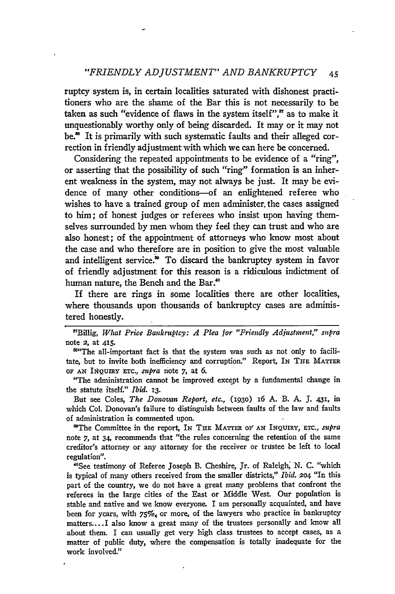ruptcy system is, in certain localities saturated with dishonest practitioners who are the shame of the Bar this is not necessarily to be taken as such "evidence of flaws in the system itself", $\alpha$ " as to make it unquestionably worthy only of being discarded. It may or it may not be.<sup>38</sup> It is primarily with such systematic faults and their alleged correction in friendly adjustment with which we can here be concerned.

Considering the repeated appointments to be evidence of a "ring", or asserting that the possibility of such "ring" formation is an inherent weakness in the system, may not always be just. It may be evidence of many other conditions--of an enlightened referee who wishes to have a trained group of men administer, the cases assigned to him; of honest judges or referees who insist upon having themselves surrounded by men whom they feel they can trust and who are also honest; of the appointment of attorneys who know most about the case and who therefore are in position to give the most valuable and intelligent service.<sup>30</sup> To discard the bankruptcy system in favor of friendly adjustment for this reason is a ridiculous indictment of human nature, the Bench and the Bar."

If there are rings in some localities there are other localities, where thousands upon thousands of bankruptcy cases are administered honestly.

Billig, *What Price Bankruptcy: A Plea for "Friendly Adjustment," supra* note 2, at **415.**

"The all-important fact is that the system was such as not only to facilitate, but to invite both inefficiency and corruption." Report, IN THE **MATTER OF AN INQUIRY** arc., *supra* note 7, at 6.

"The administration cannot be improved except by a fundamental change in the statute itself." *Ibid. I3.*

But see Coles, *The Donovan Report, etc.*, (1930) 16 A. B. A. J. 431, in which Col. Donovan's failure to distinguish between faults of the law and faults of administration is commented upon.

The Committee in the report, IN **THE** MATTER **OF AN INQUIRY, ETC.,** *supra* note *7,* at 34, recommends that "the rules concerning the retention of the same creditor's attorney or any attorney for the receiver or tristee be left to local regulation".

"See testimony of Referee Joseph B. Cheshire, Jr. of Raleigh; **N.** C. "which is typical of many others received from the smaller districts," *Ibid.* **204** "In this part of the country, we do not have a great many problems that confront the referees in the large cities of the East or Middle West. Our population is stable and native and we know everyone. I am personally acquainted, and have been for years, with  $75\%$  or more, of the lawyers who practice in bankruptcy matters.... I also know a great many of the trustees personally and know all about them. I can usually get very high class trustees to accept cases, as a matter of public duty, where the compensation is totally inadequate for the work involved."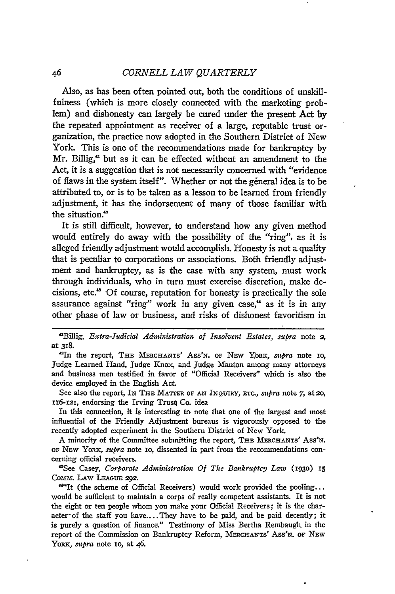Also, as has been often pointed out, both the conditions of unskillfulness (which is more closely connected with the marketing problem) and dishonesty can largely be cured under the present Act **by** the repeated appointment as receiver of a large, reputable trust organization, the practice now adopted in the Southern District of New York. This is one of the recommendations made for bankruptcy by Mr. Billig, $\alpha$  but as it can be effected without an amendment to the Act, it is a suggestion that is not necessarily concerned with "evidence of flaws in the system itself". Whether or not the general idea is to be attributed to, or is to be taken as a lesson to be learned from friendly adjustment, it has the indorsement of many of those familiar with the situation.<sup>42</sup>

It is still difficult, however, to understand how any given method would entirely do away with the possibility of the "ring", as it is alleged friendly adjustment would accomplish. Honesty is not a quality that is peculiar to corporations or associations. Both friendly adjustment and bankruptcy, as is the case with any system, must work through individuals, who in turn must exercise discretion, make decisions, etc." Of course, reputation for honesty is practically the sole assurance against "ring" work in any given case," as it is in any other phase of law or business, and risks of dishonest favoritism in

"Billig, *Extra-Judicial Administration of Insolvent Estates, mupra* note **2,** at **318.**

<sup>42</sup>In the report, THE MERCHANTS' Ass'N. OF NEW YORK, *supra* note 10, judge Learned Hand, Judge Knox, and Judge Manton among many attorneys and business men testified in favor of "Official Receivers" which is also the device employed in the English Act.

See also the report, IN THE **MATTER** OF **AN** INQuiRY, Enrc., *supra* note 7, at *20,* xi6-i2I, endorsing the Irving Trust Co. idea

In this connection, it is interesting to note that one of the largest and most influential of the Friendly Adjustment bureaus is vigorously opposed to the recently adopted experiment in the Southern District of New York.

A minority of the Committee submitting the report, THE MERCHANTS' Ass'N. OF NEW YORK, *supra* note 10, dissented in part from the recommendations concerning official receivers.

"See Casey, *Corporate Administration Of The Bankruptcy Law* **(193o) 15** Comm. LAw **LEAGUE** 292.

""It (the scheme of Official Receivers) would work provided the pooling... would be sufficient to maintain a corps of really competent assistants. It **is** not the eight or ten people whom you make your Official Receivers; it is the character of the staff you have.... They have to be paid, and be paid decently; it is purely a question of finance." Testimony of Miss Bertha Rembaugh in the report of the Commission on Bankruptcy Reform, MERCHANTS' Ass'N. OF NEW YORK, *supra* note 10, at 46.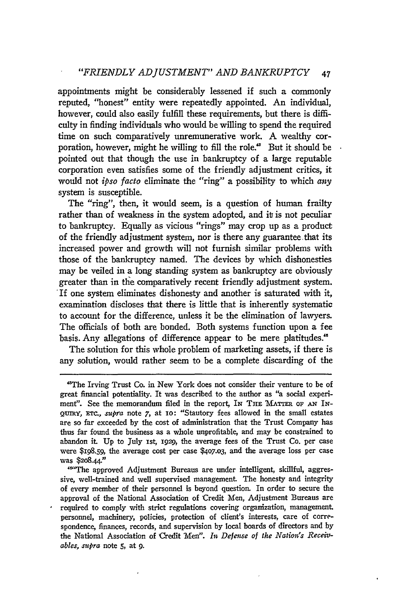appointments might be considerably lessened if such a commonly reputed, "honest" entity were repeatedly appointed. An individual, however, could also easily fulfill these requirements, but there is difficulty in finding individuals who would be willing to spend the required time on such comparatively unremunerative work. A wealthy corporation, however, might he willing to fill the role." But it should be pointed out that though the use in bankruptcy of a large reputable corporation even satisfies some of the friendly adjustment critics, it would not *ipso facto* eliminate the "ring" a possibility to which *any* system is susceptible.

The "ring", then, it would seem, is a question of human frailty rather than of weakness in the system adopted, and it is not peculiar to bankruptcy. Equally as vicious "rings" may crop up as a product of the friendly adjustment system, nor is there any guarantee that its increased power and growth will not furnish similar problems with those of the bankruptcy named. The devices by which dishonesties may be veiled in a long standing system as bankruptcy are obviously greater than in the comparatively recent friendly adjustment system. 'If one system eliminates dishonesty and another is saturated with it, examination discloses that there is little that is inherently systematic to account for the difference, unless it be the elimination of lawyers. The officials of both are bonded. Both systems function upon a fee basis. Any allegations of difference appear to be mere platitudes."

The solution for this whole problem of marketing assets, if there is any solution, would rather seem to be a complete discarding of the

<sup>&#</sup>x27;The Irving Trust Co. in New York does not consider their venture to be of great financial potentiality. It was described to the author as "a social experiment". See the memorandum filed in the report, IN THE **MATTER OF** *AN* IN-Qrmy, ETc., *supra* note **7,** at io: "Stautory fees allowed in the small estates are so far exceeded **by** the cost of administration that the Trust Company has thus far found the business as a whole unprofitable, and may be constrained to abandon it. Up to July ist, **1929,** the average fees of the Trust Co. per case were \$198.59, the average cost per case \$4o7.o3, and the average loss per case was \$2o8.44-"

<sup>&</sup>quot;"The approved Adjustment Bureaus are under intelligent, skillful, aggressive, well-trained and well supervised management. The honesty and integrity of every member of their personnel is beyond question. In order to secure the approval of the National Association of Credit Men, Adjustment Bureaus are required to comply with strict regulations covering organization, management. personnel, machinery, policies, protection of client's interests, care of correspondence, finances, records, and supervision **by** local boards of directors and **by** the National Association of Credit Men". In Defense of the Nation's Receiv*ables, mepra* note **5,** at **9.**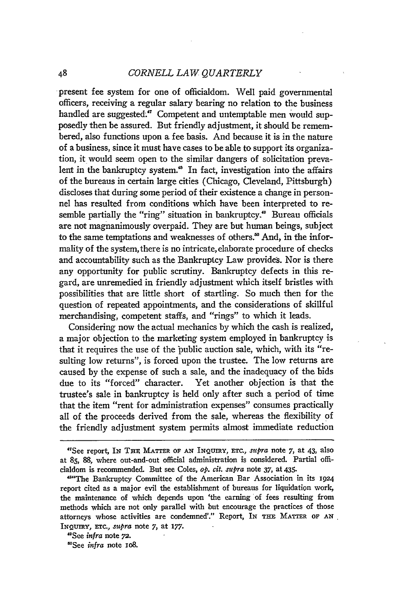present fee system for one of officialdom. Well paid governmental officers, receiving a regular salary bearing no relation to the business handled are suggested."' Competent and untemptable men would supposedly then be assured. But friendly adjustment, it should be remembered, also functions upon a fee basis. And because it is in the nature of a business, since it must have cases to be able to support its organization, it would seem open to the similar dangers of solicitation prevalent in the bankruptcy system.<sup>48</sup> In fact, investigation into the affairs of the bureaus in certain large cities (Chicago, Cleveland, Pittsburgh) discloses that during some period of their existence a change in personnel has resulted from conditions which have been interpreted to resemble partially the "ring" situation in bankruptcy.<sup>40</sup> Bureau officials are not magnanimously overpaid. They are but human beings, subject to the same temptations and weaknesses of others.<sup>80</sup> And, in the informality of the system, there is no intricate, elaborate procedure of checks and accountability such as the Bankruptcy Law provides. Nor is there any opportunity **for** public scrutiny. Bankruptcy defects in this regard, are unremedied in friendly adjustment which itself bristles with possibilities that are little short of startling. So much then for the question of repeated appointments, and the considerations of skillful merchandising, competent staffs, and "rings" to which it leads.

Considering now the actual mechanics by which the cash is realized, a major objection to the marketing system employed in bankruptcy is that it requires the use of the public auction sale, which, with its "resulting low returns", is forced upon the trustee. The low returns are caused by the expense of such a sale, and the inadequacy of the bids due to its "forced" character. Yet another objection is that the trustee's sale in bankruptcy is held only after such a period of time that the item "rent for administration expenses" consumes practically all of the proceeds derived from the sale, whereas the flexibility of the friendly adjustment system permits almost immediate reduction

<sup>&</sup>quot;See report, IN THE MATTER **OF AN INQUIRY,** *ETC., supra* note **7,** at 43, also at **85, 88,** where out-and-out official administration is considered. Partial officialdom is recommended. But see Coles, *op. cit. supra* note **37,** at 435.

<sup>&</sup>quot;"The Bankruptcy Committee of the American Bar Association in its 1924 report cited as a major evil the establishment of bureaus for liquidation work, the maintenance of which depends upon 'the earning of fees resulting from methods which are not only parallel with but encourage the practices of those attorneys whose activities are condemned'." Report, **IN THE** MATTER **OF AN INQUIRY, ETC.,** *supra* note **7,** at **177.**

<sup>&</sup>quot;See *infra* note **72.**

<sup>&#</sup>x27;See *infra* note io8.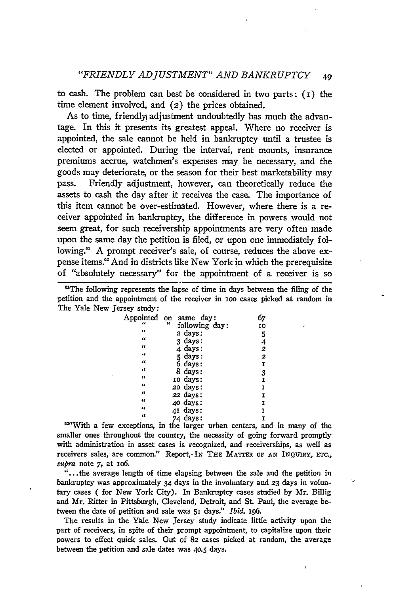to cash. The problem can best be considered in two parts:  $(I)$  the time element involved, and (2) the prices obtained.

As to time, friendly adjustment undoubtedly has much the advantage. In this it presents its greatest appeal. Where no receiver is appointed, the sale cannot be held in bankruptcy until a trustee is elected or appointed. During the interval, rent mounts, insurance premiums accrue, watchmen's expenses may be necessary, and the goods may deteriorate, or the season for their best marketability may pass. Friendly adjustment, however, can theoretically reduce the assets to cash the day after it receives the case. The importance of this item cannot be over-estimated. However, where there is a receiver appointed in bankruptcy, the difference in powers would not seem great, for such receivership appointments are very often made upon the same day the petition is filed, or upon one immediately following." A prompt receiver's sale, of course, reduces the above expense items." And in districts like New York in which the prerequisite of "absolutely necessary" for the appointment of a receiver is so

<sup>62</sup>The following represents the lapse of time in days between the filing of the petition and the appointment of the receiver in **ioo** cases picked at random in The Yale New Jersey study:

| same day:      | 67                                                                                                                                                         |
|----------------|------------------------------------------------------------------------------------------------------------------------------------------------------------|
| following day: | 10                                                                                                                                                         |
|                | 5                                                                                                                                                          |
|                |                                                                                                                                                            |
|                | $\frac{4}{2}$                                                                                                                                              |
|                |                                                                                                                                                            |
|                | I                                                                                                                                                          |
|                | $\frac{3}{1}$                                                                                                                                              |
|                |                                                                                                                                                            |
|                | I                                                                                                                                                          |
|                | I                                                                                                                                                          |
|                | I                                                                                                                                                          |
|                | Ï                                                                                                                                                          |
|                | Ī                                                                                                                                                          |
|                | on<br>$\epsilon$<br>2 days:<br>3 days:<br>4 days:<br>5 days:<br>6 days:<br>8 days:<br>10 days:<br>20 days:<br>22 days:<br>40 days:<br>41 days:<br>74 days: |

<sup>4</sup><br><sup>22</sup><sup>4</sup> days: I<br><sup>52</sup><sup>4</sup>With a few exceptions, in the larger urban centers, and in many of the smaller ones throughout the country, the necessity of going forward promptly with administration in asset cases is recognized, and receiverships, as well as receivers sales, are common." Report, In THE MATTER OF AN INQUIRY, ETC., supra note 7, at **106.**

"...the average length of time elapsing between the sale and the petition in bankruptcy was approximately 34 days in the involuntary and **23** days in voluntary cases **(** for New York City). In Bankruptcy cases studied by Mr. Billig and Mr. Ritter in Pittsburgh, Cleveland, Detroit, and St Paul, the average between the date of petition and sale was 51 days." *Ibid. I96.*

The results in the Yale New Jersey study indicate little activity upon the part of receivers, in spite of their prompt appointment, to capitalize upon their powers to effect quick sales. Out of 82 cases picked at random, the average between the petition and sale dates was **40.5** days.

 $\overline{1}$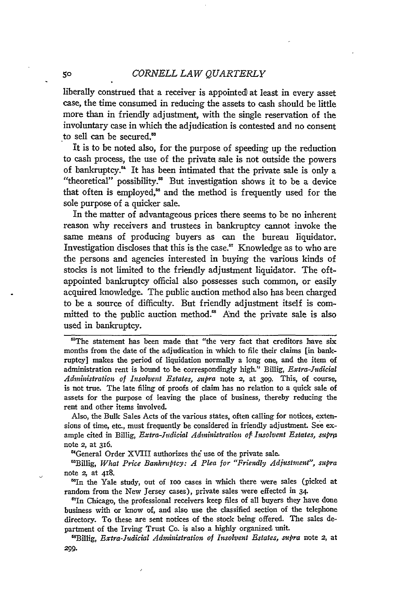liberally construed that a receiver is appointed at least in every asset case, the time consumed in reducing the assets to cash should be little more than in friendly adjustment, with the single reservation of the involuntary case in which the adjudication is contested and no consent to sell can be secured.'

It is to be noted also, for the purpose of speeding up the reduction to cash process, the use of the private sale is not outside the powers of bankruptcy." It has been intimated that the private sale is only a "theoretical" possibility.<sup>85</sup> But investigation shows it to be a device that often is employed," and the method is frequently used for the sole purpose of a quicker sale.

In the matter of advantageous prices there seems to be no inherent reason why receivers and trustees in bankruptcy cannot invoke the same means of producing buyers as can the bureau liquidator. Investigation discloses that this is the case. $<sup>57</sup>$  Knowledge as to who are</sup> the persons and agencies interested in buying the various kinds of stocks is not limited to the friendly adjustment liquidator. The oftappointed bankruptcy official also possesses such common, or easily acquired knowledge. The public auction method also has been charged to be a source of difficulty. But friendly adjustment itself is committed to the public auction method.<sup>88</sup> And the private sale is also used in bankruptcy.

<sup>58</sup>The statement has been made that "the very fact that creditors have six months from the date of the adjudication in which to file their claims [in bankruptcy] makes the period of liquidation normally a long one, and the item of administration rent is bound to be correspondingly high." Billig, *Extra-Judcial Administration of Insolvent Estates, supra* note 2, at 3og. This, of course, is not true. The late filing of proofs of claim has no relation to a quick sale of assets for the purpose of leaving the place of business, thereby reducing the rent and other items involved.

Also, the Bulk Sales Acts of the various states, often calling for notices, extensions of time, etc., must frequently be considered in friendly adjustment. See example cited in Billig, *Extra-Judicial Administration of Insolvent Estates, supra* note 2, at 316.

'General Order XVIII authorizes the use of the private sale.

t\*Billig, *What Price Bankruptcy: A Plea for "Friendly Adjustment", supra* note 2, at 418.

'In the Yale study, out of ioo cases in which there were sales (picked at random from the New Jersey cases), private sales were effected in 34.

"In Chicago, the professional receivers keep files of all buyers they have done business with or know of, and also use the classified section of the telephone directory. To these are sent notices of the stock being offered. The sales department of the Irving Trust Co. is also a highly organized unit.

<sup>ts</sup>Billig, *Extra-Judicial Administration of Insolvent Estates, supra* note 2, at **299.**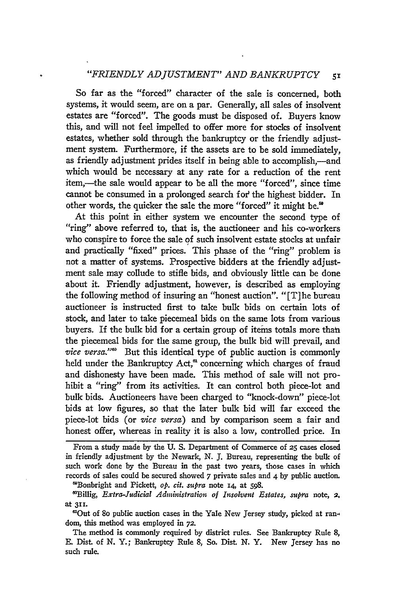#### *"FRIENDLY ADJUSTMENT" AND BANKRUPTCY <sup>51</sup>*

So far as the "forced" character of the sale is concerned, both systems, it would seem, are on a par. Generally, all sales of insolvent estates are "forced". The goods must be disposed of. Buyers know this, and will not feel impelled to offer more for stocks of insolvent estates, whether sold through the bankruptcy or the friendly adjustment system. Furthermore, if the assets are to be sold immediately, as friendly adjustment prides itself in being able to accomplish,—and which would be necessary at any rate for a reduction of the rent item,—the sale would appear to be all the more "forced", since time cannot be consumed in a prolonged search for the highest bidder. In other words, the quicker the sale the more "forced" it might be.'

At this point in either system we encounter the second type of "ring" above referred to, that is, the auctioneer and his co-workers who conspire to force the sale **of** such insolvent estate stocks at unfair and practically "fixed" prices. This phase of the "ring" problem is not a matter of systems. Prospective bidders at the friendly adjustment sale may collude to stifle bids, and obviously little can be done about it. Friendly adjustment, however, is described as employing the following method of insuring an "honest auction". "[T] he bureau auctioneer is instructed first to take bulk bids on certain lots of stock, and later to take piecemeal bids on the same lots from various buyers. If the bulk bid for a certain group of items totals more than the piecemeal bids for the same group, the bulk bid will prevail, and vice versa."<sup>60</sup> But this identical type of public auction is commonly held under the Bankruptcy Act,<sup>a</sup> concerning which charges of fraud and dishonesty have been made. This method of sale will not prohibit a "ring" from its activities. It can control both piece-lot and bulk bids. Auctioneers have been charged to "knock-down" piece-lot bids at low figures, so that the later bulk bid will far exceed the piece-lot bids (or *vice versa)* and by comparison seem a fair and honest offer, whereas in reality it is also a low, controlled price. In

From a study made by the **U. S.** Department of Commerce of **25** cases closed in friendly adjustment by the Newark, N. J. Bureau, representing the bulk of such work done by the Bureau in the past two years, those cases in which records of sales could be secured showed 7 private sales and 4 by public auction. 'OBonbright and Pickett, *op. cit. supra* note *14,* at 598.

"Billig, *Extra-Judicial Administration of Insolvent Estates, supra* note, **2.** at **311.**

'Out of **8o** public auction cases in the Yale New Jersey study, picked at random, this method was employed in **72.**

The method is commonly required **by** district rules. See Bankruptcy Rule **8, E.** Dist. of N. Y.; Bankruptcy Rule 8, So. Dist. **N.** Y. New Jersey has no such rule.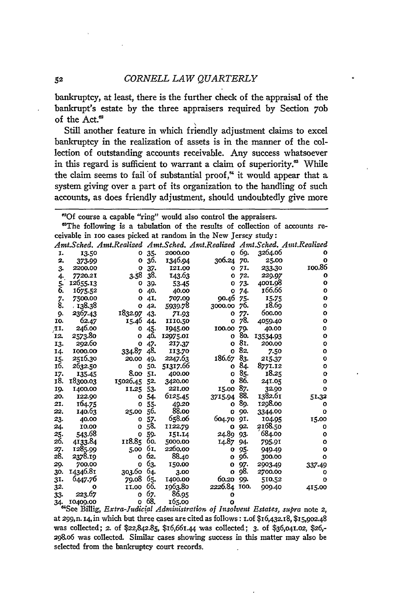bankruptcy, at least, there is the further check of the appraisal of the bankrupt's estate by the three appraisers required by Section 7ob of the Act.<sup>62</sup>

Still another feature in which friendly adjustment claims to excel bankruptcy in the realization of assets is in the manner of the collection of outstanding accounts receivable. Any success whatsoever in this regard is sufficient to warrant a claim of superiority.<sup>88</sup> While the claim seems to fail of substantial proof," it would appear that a system giving over a part of its organization to the handling of such accounts, as does friendly adjustment, should undoubtedly give more

"The following is a tabulation of the results of collection of accounts receivable in ioo cases picked at random in the New Jersey study:

|               |          |              |     |          | Amt.Sched. Amt.Realized Amt.Sched. Amt.Realized |             |          | Amt.Sched. Amt.Realized |
|---------------|----------|--------------|-----|----------|-------------------------------------------------|-------------|----------|-------------------------|
| I.            | 13.50    | o            | 35. | 2000.00  | O                                               | 69.         | 3264.06  | ο                       |
| 2.            | 373-99   | o            | 36. | 1346.94  | 306.24                                          | 70.         | 25.00    | o                       |
| 3.            | 2200.00  | o            | 37. | 121.00   | O                                               | 71.         | 233.30   | 100.86                  |
| 4.            | 7720.21  | 3.58         | 38. | 143.63   | O                                               | 72.         | 229.97   | o                       |
| $\frac{5}{6}$ | 12655.13 | o            | 39. | 53.45    | O                                               | 73.         | 4001.98  | o                       |
|               | 1675.52  | о            | 40. | 40.00    | 0                                               | 74.         | 166.66   | 0                       |
| 7.            | 7500.00  | ο            | 41. | 707.09   | 90.46                                           | 75.         | 15.75    | $\mathbf{o}$            |
| 8.            | 138.38   | 0            | 42. | 5939.78  | 3000.00                                         | 76.         | 18.69    | o                       |
| 9.            | 2367.43  | 1832.97      | 43. | 71.93    | o                                               | 77.         | 600.00   | $\mathbf{o}$            |
| IO.           | 62.47    | 15.46        | 44. | 1110.50  | $\mathbf o$                                     | 78.         | 4059.40  | $\mathbf{o}$            |
| TI.           | 246.00   | O            | 45. | 1945.00  | 100.00                                          | 79.         | 40.00    | $\mathbf o$             |
| 12.           | 2573.80  | 0            | 46. | 12975.01 | O                                               | 80.         | 13534.93 | o                       |
| 13.           | 292.60   | $\mathbf{o}$ | 47. | 217.37   | $\mathbf{o}$                                    | 81.         | 200.00   | $\circ$                 |
| 14.           | 1000.00  | 334.87       | 48. | 113.70   | $\mathbf{o}$                                    | 82.         | 7.50     | $\mathbf o$             |
| 15.           | 2516.30  | 20.00        | 49. | 2247.63  | 186.67                                          | 83.         | 215.37   | $\mathbf{o}$            |
| 16.           | 2632.50  | $\mathbf{o}$ | 50. | 51317.66 | O                                               | 84.         | 8771.12  | o                       |
| 17.           | 135-45   | 8.00         | 51. | 400.00   | $\mathbf{o}$                                    | 85.         | 18.25    | о                       |
| 18.           | 18300.03 | 15026.45     | 52. | 3420.00  | $\mathbf 0$                                     | 86.         | 241.05   | $\mathbf o$             |
| 19.           | 1400.00  | 11.25        | 53. | 221.00   | 15.00                                           | 87.         | 32.90    | $\mathbf{o}$            |
| 20.           | 122.90   | O            | 54. | 6125.45  | 3715.94                                         | 88.         | 1382.61  | 51.32                   |
| 21.           | 164.75   | O            | 55. | 49.20    | $\mathbf{o}$                                    | 89.         | 1298.00  | o                       |
| 22.           | 140.63   | 25.00        | 56. | 88.00    | o                                               | 90.         | 3344.00  | $\mathbf o$             |
| 23.           | 40.00    | o            | 57. | 658.06   | 604.70                                          | QI.         | 104.95   | 15.00                   |
| 24.           | 10.00    | $\Omega$     | 58. | 1122.79  | o                                               | 92.         | 2168.50  | o                       |
| 25.           | 543.68   | O            | 59. | 151.14   | 24.89                                           | 93.         | 684.00   | $\mathbf{o}$            |
| 26.           | 4133.84  | 118.85       | 60. | 5000.00  | 14.87                                           | 94.         | 795.91   | $\mathbf{o}$            |
| 27.           | 1285.99  | 5.00         | 61. | 2260.00  | о                                               | 95.         | 949.49   | $\mathbf{o}$            |
| 28.           | 2378.19  | $\mathbf o$  | 62. | 88.40    | $\Omega$                                        | 96.         | 300.00   | o                       |
| 29.           | 700.00   | $\mathbf o$  | 63. | 150.00   | o                                               | 97.         | 2903.49  | 337.49                  |
| 30.           | 14346.81 | 303.60       | 64. | 3.00     | $\mathbf{o}$                                    | 98.         | 2700.00  | o                       |
| 31.           | 6447.76  | 79.08        | 65. | 1400.00  | 60.20                                           | 99.         | 510.52   | $\mathbf{o}$            |
| 32.           | o        | II.00        | 66. | 1963.80  | 2226.84                                         | <b>IOO.</b> | 909.40   | 415.00                  |
| 33.           | 223.67   | $\mathbf{o}$ | 67. | 86.95    | Ω                                               |             |          |                         |
| 34.           | 10409.00 | $\mathbf{o}$ | 68. | 165.00   | Ω                                               |             |          |                         |

"See Billig, *Extra-Judicial Administration of Isolvent Estates, supra* note 2, at 299,n. 14,in which but three cases are cited as follows: i.of \$16,432.18, \$15,9o2.48 was collected; *2.* of \$22,842.85, \$16,661.44 was collected; 3. of \$36,o41.o2, \$26,- 298.06 was collected. Similar cases showing success in this matter may also be selected from the bankruptcy court records.

**<sup>&#</sup>x27;Of** course a capable "ring" would also control the appraisers.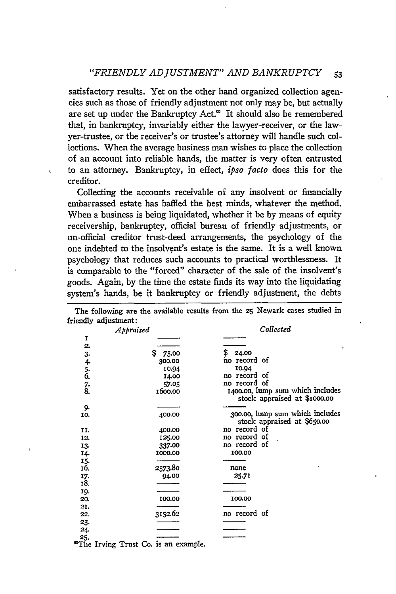satisfactory results. Yet on the other hand organized collection agencies such as those of friendly adjustment not only may be, but actually are set up under the Bankruptcy Act.<sup>65</sup> It should also be remembered that, in bankruptcy, invariably either the lawyer-receiver, or the lawyer-trustee, or the receiver's or trustee's attorney will handle such collections. When the average business man wishes to place the collection of an account into reliable hands, the matter is very often entrusted to an attorney. Bankruptcy, in effect, *ipso facto* does this for the creditor.

Collecting the accounts receivable of any insolvent or financially embarrassed estate has baffled the best minds, whatever the method. When a business is being liquidated, whether it be by means of equity receivership, bankruptcy, official bureau of friendly adjustments, or un-official creditor trust-deed arrangements, the psychology of the one indebted to the insolvent's estate is the same. It is a well known psychology that reduces such accounts to practical worthlessness. It is comparable to the "forced" character of the sale of the insolvent's goods. Again, by the time the estate finds its way into the liquidating system's hands, be it bankruptcy or friendly adjustment, the debts

The following are the available results from the **25** Newark cases studied in friendly adjustment:

|                   | Appraised |         | Collected                                                        |  |  |
|-------------------|-----------|---------|------------------------------------------------------------------|--|--|
| I                 |           |         |                                                                  |  |  |
| 2.                |           |         |                                                                  |  |  |
|                   | \$        | 75.00   | \$<br>24.00                                                      |  |  |
|                   |           | 300.00  | no record of                                                     |  |  |
| $3.456$ , $7.8$ . |           | 10.94   | 10.94                                                            |  |  |
|                   |           | 14.00   | no record of                                                     |  |  |
|                   |           | 57.05   | no record of                                                     |  |  |
|                   |           | 1600.00 | 1400.00, lump sum which includes<br>stock appraised at \$1000.00 |  |  |
| 9.                |           |         |                                                                  |  |  |
| 10.               |           | 400.00  | 300.00, lump sum which includes<br>stock appraised at \$650.00   |  |  |
| II.               |           | 400.00  | no record of                                                     |  |  |
| 12.               |           | 125.00  | no record of                                                     |  |  |
| 13.               |           | 337.00  | no record of                                                     |  |  |
| 14.               |           | 1000.00 | 100.00                                                           |  |  |
| 15.               |           |         |                                                                  |  |  |
| 16.               |           | 2573.80 | none                                                             |  |  |
| 17.               |           | 94.00   | 25.71                                                            |  |  |
| 18.               |           |         |                                                                  |  |  |
| 19.               |           |         |                                                                  |  |  |
| 20.               |           | 100.00  | 100.00                                                           |  |  |
| 21.               |           |         |                                                                  |  |  |
| 22.               |           | 3152.62 | no record of                                                     |  |  |
| 23.               |           |         |                                                                  |  |  |
| 24.               |           |         |                                                                  |  |  |
| 25.               |           |         |                                                                  |  |  |
| servi.            |           |         |                                                                  |  |  |

"~The Irving Trust **Co.** is an example.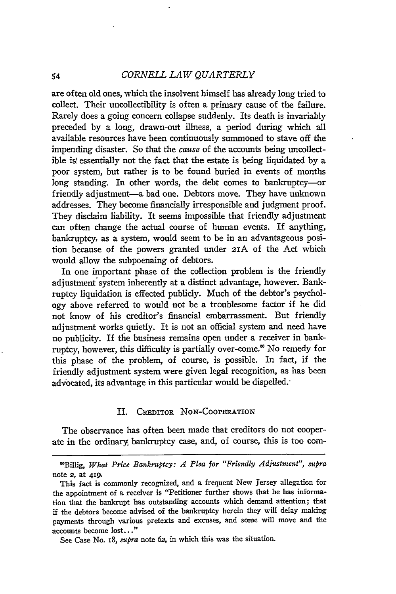#### *CORNELL LAW QUARTERLY*

are often old ones, which the insolvent himself has already long tried to collect. Their uncollectibility is often a primary cause of the failure. Rarely does a going concern collapse suddenly. Its death is invariably preceded by a long, drawn-out illness, a period during which all available resources have been continuously summoned to stave off the impending disaster. So that the cause of the accounts being uncollectible is essentially not the fact that the estate is being liquidated by a poor system, but rather is to be found buried in events of months long standing. In other words, the debt comes to bankruptcy-or friendly adjustment-a bad one. Debtors move. They have unknown addresses. They become financially irresponsible and judgment proof. They disclaim liability. It seems impossible that friendly adjustment can often change the actual course of human events. If anything, bankruptcy, as a system, would seem to be in an advantageous position because of the powers granted under 2IA of the Act which would allow the subpoenaing of debtors.

In one important phase of the collection problem is the friendly adjustment system inherently at a distinct advantage, however. Bankruptcy liquidation is effected publicly. Much of the debtor's psychology above referred to would not be a troublesome factor if he did not know of his creditor's financial embarrassment. But friendly adjustment works quietly. It is not an official system and need have no publicity. If tfie business remains open under a receiver in bankruptcy, however, this difficulty is partially over-come.' No remedy for this phase of the problem, of course, is possible. In fact, if the friendly adjustment system were given legal recognition, as has been advocated, its advantage in this particular would be dispelled.

#### II. CREDITOR NoN-COOPERATION

The observance has often been made that creditors do not cooperate in the ordinary, bankruptcy case, and, of course, this is too com-

See Case No. 18, *supra* note 62, in which this was the situation.

<sup>&</sup>quot;Billig, *What Price Bankruptcy: A Plea for "Friendly Adjustment", supra* note **2,** at 419.

This fact is commonly recognized, and a frequent New Jersey allegation for the appointment of a receiver is "Petitioner further shows that he has information that the bankrupt has outstanding accounts which demand attention; that if the debtors become advised of the bankruptcy herein they will delay making payments through various pretexts and excuses, and some will move and the accounts become lost.. ."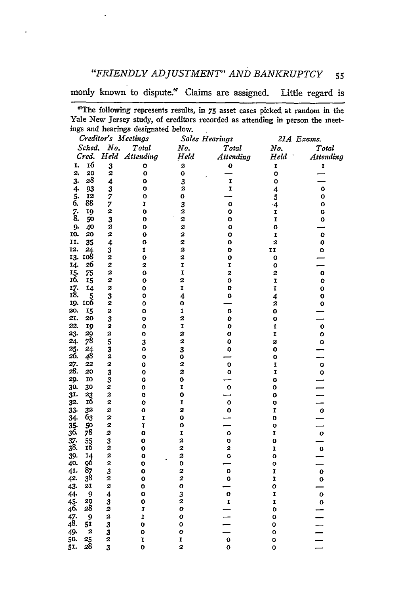*"FRIENDLY ADJUSTMENT" AND BANKRUPTCY* **55**

monly known to dispute." Claims are assigned. Little regard is

<sup>&#</sup>x27;The following represents results, in 75 asset cases picked at random in the Yale New Jersey study, of creditors recorded as attending in person the meetings and hearings designated below. l.

|               |                         |                         | Creditor's Meetings |                              | Sales Hearings |                                                            | 21A Exams.                           |
|---------------|-------------------------|-------------------------|---------------------|------------------------------|----------------|------------------------------------------------------------|--------------------------------------|
|               | Sched.                  | No.                     | Total               | No.                          | Total          | No.                                                        | Total                                |
|               | Cred.                   |                         | Held Attending      | Held                         | Attending      | $\boldsymbol{H}\boldsymbol{e}\boldsymbol{l}\boldsymbol{d}$ | Attending                            |
| I.            | 16                      | 3                       | o                   | 2                            | 0              | I                                                          | I                                    |
| $\mathbf{2}$  | 20                      | $\overline{a}$          | O                   | o                            |                | $\bullet$                                                  |                                      |
| 3.            | 28                      | 4                       | O                   |                              | I              | o                                                          |                                      |
| $4-$          | 93                      | $\overline{\mathbf{3}}$ | o                   | $\frac{3}{2}$                | I              | 4                                                          | o                                    |
|               | 12                      | 7                       | o                   | o                            |                | 5                                                          | O                                    |
| $\frac{5}{6}$ | 88                      | ;<br>2                  | I                   | 3                            | $\mathbf{o}$   | $\cdot$ 4                                                  | 0                                    |
| $\frac{7}{8}$ | 19                      |                         | O                   | 2                            | o              | I                                                          | 0                                    |
|               | 50                      | 3                       | O                   | 2                            | o              | I                                                          | o                                    |
| 9.            | 40                      | 2                       | O                   | 2                            | O              | O                                                          |                                      |
| 10.           | 20                      | 2                       | 0                   | 2                            | o              | I                                                          | o                                    |
| 11.           | 35                      | 4                       | 0                   | 2                            | O              | 2                                                          | $\bullet$                            |
| 12.           | 24                      | 3                       | I                   | 2                            | o              | 11                                                         | o                                    |
|               | 13. 108                 | 2                       | Ō                   | 2                            | o              | o                                                          |                                      |
| 14.           | 26                      | 2                       | 2                   | I                            | I              | O                                                          |                                      |
| 15.           | 75                      | 2                       | 0                   | I                            | 2              | 2                                                          | o                                    |
| 16.           | 15                      | 2                       | $\mathbf{o}$        | 2                            | o              | I                                                          | $\mathbf{o}$                         |
| 17.<br>18.    | 14                      | 2                       | Ō                   | I                            | o              | I                                                          | O                                    |
|               | 5<br>19. 106            | 3<br>2                  | 0<br>O              | $\overline{\mathbf{4}}$<br>0 | 0              | 4<br>2                                                     | 0                                    |
| 20.           | 15                      | 2                       | o                   | 1                            | O              | O                                                          | $\bullet$                            |
| 21.           | 20                      | 3                       | Ō                   | 2                            | $\bullet$      | O                                                          |                                      |
| 22.           | 19                      | 2                       | Ō                   | I                            | o              | I                                                          | $\mathbf{o}$                         |
| 23.           | 29                      | 2                       | o                   | 2                            | O              | I                                                          | o                                    |
| 24.           | $7^8$                   | 5                       | 3                   | 2                            | $\bullet$      | 2                                                          | 0                                    |
| 25.           | 24                      | $\overline{\mathbf{3}}$ | Ō                   | 3                            | Ō              | o                                                          |                                      |
| 26.           | 48                      | 2                       | O                   | o                            |                | 0                                                          |                                      |
|               | 22                      | 2                       | o                   | 2                            | $\mathbf{o}$   | I                                                          |                                      |
| 27.<br>28.    | 20                      | 3                       | o                   | 2                            | O              | I                                                          | $\begin{matrix} 0 \\ 0 \end{matrix}$ |
| 29.           | 10                      | 3                       | 0                   | 0                            |                | 0                                                          |                                      |
| 30.           | 30                      | 2                       | O                   | I                            | o              | 0                                                          |                                      |
| 31.           | 23                      | $\boldsymbol{z}$        | Ō                   | o                            |                | O                                                          |                                      |
| 32.           | 16                      | 2                       | 0                   | I                            | 0              | O                                                          |                                      |
| 33.           | 32                      | 2                       | Ō                   | 2                            | o              | I                                                          |                                      |
| 34.           | Ğ3                      | 2                       | I                   | o                            |                | O                                                          |                                      |
| 35.           | 50<br>78                | 2                       | ĩ                   | O                            |                | O                                                          |                                      |
| 36.           |                         | 2                       | Ō                   | I                            | o              | I                                                          | 1   0   0   0   1                    |
| 37.<br>38.    | $\frac{55}{16}$         | 3<br>2                  | o                   | 2<br>2                       | O<br>2         | o                                                          |                                      |
| 39.           | 14                      | 2                       | o<br>0              | 2                            | O              | I<br>o                                                     |                                      |
| 40.           | 96                      | 2                       | o                   | o                            |                | o                                                          |                                      |
| 41.           | 87                      | 3                       | 0                   | 2                            | o              | I                                                          |                                      |
| 42.           | 3 <sup>8</sup>          | $\boldsymbol{2}$        | Ō                   | 2                            | o              | I                                                          |                                      |
| 43.           | 21                      | 2                       | O                   | o                            |                | o                                                          |                                      |
| 44.           | 9                       | $\overline{\mathbf{4}}$ | $\mathbf 0$         | 3                            | o              | I                                                          | $\frac{0}{\rho}$                     |
| 45.           |                         | 3                       | $\bf{0}$            | 2                            | $\mathbf{I}$   | I                                                          | $\mathbf{o}$                         |
| 46.           | 29<br>28                | 2                       | ĭ                   | o                            |                | O                                                          |                                      |
| 47.<br>48.    | 9                       | 2                       | I                   | O                            |                | o                                                          |                                      |
|               | 51                      | 3                       | $\mathbf 0$         | 0                            |                | 0                                                          |                                      |
| 49.           | $\overline{\mathbf{z}}$ | $\frac{3}{2}$           | O                   | 0                            |                | 0                                                          |                                      |
| 50.           | 25<br>28                |                         | ĭ                   | I                            | $\mathbf{o}$   | O                                                          |                                      |
| 51.           |                         | 3                       | $\mathbf 0$         | $\overline{\mathbf{z}}$      | Ō              | O                                                          |                                      |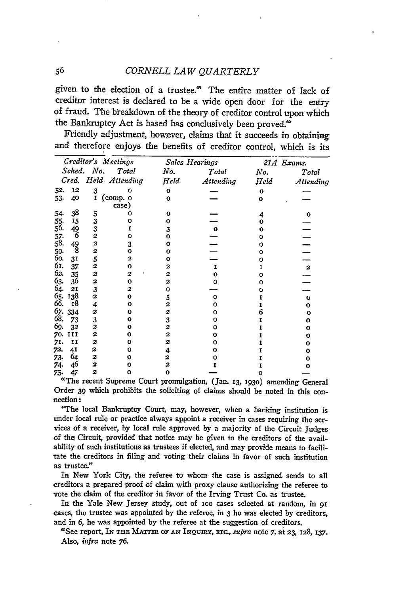# 56 *CORNELL LAW QUARTERLY*

given to the election of a trustee.<sup>68</sup> The entire matter of lack of creditor interest is declared to be a wide open door for the entry of fraud. The breakdown of the theory of creditor control upon which the Bankruptcy Act is based has conclusively been proved.<sup>®</sup>

Friendly adjustment, however, claims that it succeeds in obtaining and therefore enjoys the benefits of creditor control, which is its

| Creditor's Meetings |                |                |                      | Sales Hearings | 21A Exams.   |      |                  |
|---------------------|----------------|----------------|----------------------|----------------|--------------|------|------------------|
|                     |                | Sched. No.     | Total                | No.            | Total        | No.  | Total            |
|                     |                |                | Cred. Held Attending | $H$ eld        | Attending    | Held | Attending        |
| 52.                 | 12             | 3              | Ω                    | 0              |              | o    |                  |
| 53.                 | 40             | $\mathbf{r}$   | (comp. o<br>case)    | $\bf{o}$       |              | 0    |                  |
| 54.                 | 38             |                | ŋ                    | Ω              |              | 4    | o                |
| 55.                 | 15             | $\frac{5}{3}$  |                      | Ω              |              |      |                  |
| 56.                 | 49             | 3              |                      | 3              | $\mathbf{o}$ |      |                  |
| 57.<br>58.          | 6              | $\overline{a}$ | o                    | o              |              | Ω    |                  |
|                     | 49             | 2              | 3                    |                |              |      |                  |
| 59.                 | 8              | 2              | Ω                    | n              |              |      |                  |
| 60.                 | 3 <sub>1</sub> | 5              | 2                    |                |              |      |                  |
| 61.                 | 37             | $\overline{a}$ | Ω                    | 2              |              |      | $\boldsymbol{z}$ |
| 62.                 | 35             | 2              | 2                    | 2              |              |      |                  |
| 63.                 | 36             | $\overline{c}$ | 0                    | 2              |              |      |                  |
| 64.                 | 21             | 3              |                      |                |              |      |                  |
| 65.66               | 138            | $\overline{2}$ |                      | 5              |              |      | o                |
|                     | Ι8             | 4              |                      | 2              |              |      | ο                |
| 67.                 | 334            | $\overline{a}$ | Ω                    | 2              |              |      | ο                |
| 68.                 | 73             | 3              |                      | 3              |              |      | 0                |
| 69.                 | 32             | 2              |                      | 2              |              |      | ο                |
| 70.                 | ш              | 2              | Ω                    | 2              |              |      | о                |
| 71.                 | 11             | 2              |                      | 2              |              |      | о                |
| 72.                 | 41             | 2              |                      | 4              |              |      | 0                |
| 73.                 | 64             | $\overline{a}$ |                      | 2              |              |      | о                |
| 74.                 | 46             | 2              |                      | 2              |              |      | о                |
| 75.                 | 47             | 2              | ο                    | ٥              |              |      |                  |

*75.* 47 2 **0 0 - 0 -** 'The recent Supreme Court promulgation, (Jan. **13, 193o)** amending General Order **39** which prohibits the soliciting of claims should be noted in this connection:

"The local Bankruptcy Court, may, however, when a banking institution is under local nile or practice always appoint a receiver in cases requiring the ser- vices of a receiver, by local rule approved by a majority of the Circuit Judges of the Circuit, provided that notice may be given to the creditors of the availability of such institutions as trustees if elected, and may provide means to facilitate the creditors in filing and voting their claims in favor of such institution as trustee."

In New York City, the referee to whom the case is assigned sends to all creditors a prepared proof of claim with proxy clause authorizing the referee to vote the claim of the creditor in favor of the Irving Trust Co. as trustee.

In the Yale New Jersey study, out of **1oo** cases selected at random, in **91** cases, the trustee was appointed **by** the referee, in **3** he was elected **by** creditors, and in **6,** he was appointed **by** the referee at the suggestion of creditors.

'See report, IN **THE** MATrE **OF AN INQUIRY, Erc.,** *supra* note *7,* at **23, 128, 137.** Also, *infra* note **76.**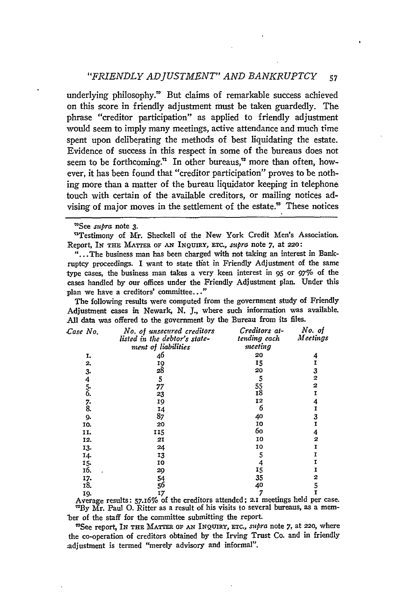## *"FRIENDLY ADJUSTMENT" AND BANKRUPTCY* 57

underlying philosophy." But claims of remarkable success achieved on this score in friendly adjustment must be taken guardedly. The phrase "creditor participation" as applied to friendly adjustment would seem to imply many meetings, active attendance and much time spent upon deliberating the methods of best liquidating the estate. Evidence of success in this respect in some of the bureaus does not seem to be forthcoming.<sup> $\pi$ </sup> In other bureaus,<sup> $\pi$ </sup> more than often, however, it has been found that "creditor participation" proves to be nothing more than a matter of the bureau liquidator keeping in telephone touch with certain of the available creditors, or mailing notices advising of major moves in the settlement of the estate." These notices

'See supra note **3.**

"Testimony of Mr. Sheckell of the New York Credit Men's Association. Report, **IN THE** MATTER **OF AN INQUiRY,** ETc., *supra* note 7, at **220:**

"...The business man has been charged with not taking an interest in Bankruptcy proceedings. I want to state tihat in Friendly Adjustment of the same type cases, the business man takes a very keen interest in **95** or 97% of the cases handled **by** our offices under the Friendly Adjustment plan. Under this plan we have a creditors' committee..."

The following results were computed from the government study of Friendly Adjustment cases in Newark, **N. J.,** where such information was available. All data was offered to the government **by** the Bureau from its files.

| Case No. | No. of unsecured creditors<br>listed in the debtor's state-<br>ment of liabilities | Creditors at-<br>tending each<br>meeting | No. of<br>Meetings |
|----------|------------------------------------------------------------------------------------|------------------------------------------|--------------------|
| I.       | 46                                                                                 | 20                                       | 4                  |
| 2.       |                                                                                    | 15                                       | I                  |
| 3.       | $\frac{19}{28}$                                                                    | 20                                       | 3                  |
|          | 5                                                                                  | 5                                        | 2                  |
|          | 77                                                                                 | 55                                       | 2                  |
| 456. 78. | 23                                                                                 | I8                                       | Ï                  |
|          | 19                                                                                 | 12                                       | 4                  |
|          | 14                                                                                 | 6                                        | I                  |
| 9.       | 87                                                                                 | 40                                       | 3                  |
| 10.      | 20                                                                                 | 10                                       | Ĩ                  |
| TT.      | 115                                                                                | 60                                       | 4                  |
| 12.      | 21                                                                                 | 10                                       | 2                  |
| 13.      | 24                                                                                 | 10                                       | 1                  |
| 14.      | 13                                                                                 | 5                                        |                    |
| 15.      | 10                                                                                 | 4                                        |                    |
| 16.      | 29                                                                                 | 15                                       |                    |
| 17.      |                                                                                    | 35                                       | 2                  |
| 18.      | 54<br>56                                                                           | 40                                       | 5                  |
| IQ.      | 17                                                                                 | 7                                        | Ï                  |

**19. 17 7 I** Average results: 57.16% of the creditors attended; 2.1 meetings held per case. **'By** Mr. Paul **0.** Ritter as a result of his visits to several bureaus, as a mem- -ber of the staff for the committee submitting the report.

'See report, IN **THE** MATTER **OF AN INQUIRY,** ETc., *supra* note 7, at 220, where the co-operation of creditors obtained by the Irving Trust Co. and in friendly ;adjustment is termed "merely advisory and informal".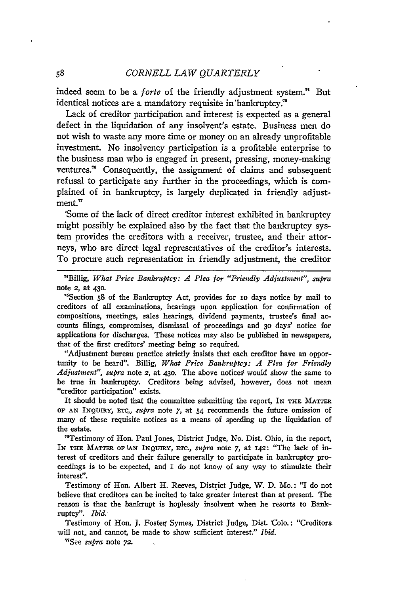indeed seem to be a *forte* of the friendly adjustment system.<sup>"</sup> But identical notices are a mandatory requisite in'bankruptcy.'

Lack of creditor participation and interest is expected as a general defect in the liquidation of any insolvent's estate. Business men do not wish to waste any more time or money on an already unprofitable investment. No insolvency participation is a profitable enterprise to the business man who is engaged in present, pressing, money-making ventures."6 Consequently, the assignment of claims and subsequent refusal to participate any further in the proceedings, which is complained of in bankruptcy, is largely duplicated in friendly adjustment. $\pi$ 

'Some of the lack of direct creditor interest exhibited in bankruptcy might possibly be explained also by the fact that the bankruptcy system provides the creditors with a receiver, trustee, and their attorneys, who are direct legal representatives of the creditor's interests. To procure such representation in friendly adjustment, the creditor

"Billig, *What Price Bankruptcy: A Plea for "Friendly Adjustment", supra* note 2, at **43o.**

' Section **s8** of the Bankruptcy Act, provides for io days notice **by** mail to creditors of all examinations, hearings upon application for confirmation of compositions, meetings, sales hearings, dividend payments, trustee's final accounts filings, compromises, dismissal of proceedings and 3o days' notice for applications for discharges. These notices may also be published in newspapers, that of the first creditors' meeting being so required.

"Adjustment bureau practice strictly insists that each creditor have an opportunity to be heard". Billig, *What Price Bankruptcy: A Plea for Friendly* Adjustment", supra note 2, at 430. The above notices would show the same to be true in bankruptcy. Creditors being advised, however, does not mean "creditor participation" exists.

It should be noted that the committee submitting the report, IN THE MATTER OF **AN** INQUiRy, *Erc., supra* note 7, at 54 recommends the future omission of many of these requisite notices as a means of speeding up the liquidation of the estate.

" 6 Testimony of Hon. Paul Jones, District Judge, No. Dist. Ohio, in the report, IN **THE** MArTR oF **kAN** INQuIRY, *Tc., supra* note 7, at 142: "The lack of interest of creditors and their failure generally to participate in bankruptcy proceedings is to be expected, and I do not know of any way to stimulate their interest".

Testimony of Hon. Albert H, Reeves, District Judge, W. **D.** Mo.: "I do not believe that creditors can be incited to take greater interest than at present. The reason is that the bankrupt is hoplessly insolvent when he resorts to Bankruptcy". *Ibid.*

Testimony of Hon. **J.** Foster, Symes, District Judge, Dist. Colo.: "Creditors will not,, and cannot, be made to show sufficient interest." *Ibid.*

'See *supra* note **72.**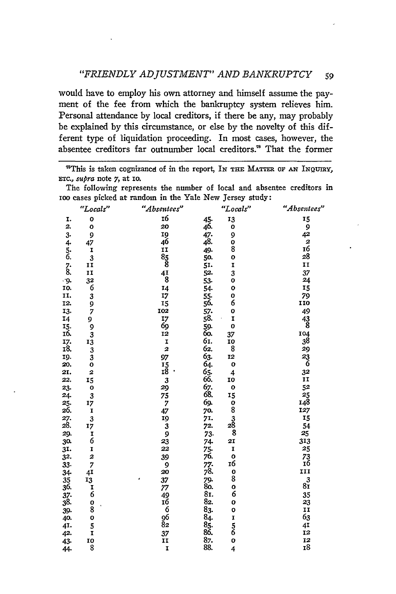would have to employ his own attorney and himself assume the payment of the fee from which the bankruptcy system relieves him. Personal attendance by local creditors, if there be any, may probably be explained by this circumstance, or else by the novelty of this different type of liquidation proceeding. In most cases, however, the absentee creditors far outnumber local creditors." That the former

<sup>78</sup>This is taken cognizance of in the report, In THE MATTER OF AN INQUIRY, ETC., *supra* note 7, at 10.

The following represents the number of local and absentee creditors in IOO cases picked at random in the Yale New Jersey study:

|                                       | "Locals"                                         | "Absentecs"         |                                    | "Locals"                                      | "Absentees"                            |
|---------------------------------------|--------------------------------------------------|---------------------|------------------------------------|-----------------------------------------------|----------------------------------------|
| I.                                    | O                                                | 16                  | 45.                                | 13                                            | 15                                     |
| 2.                                    | $\mathbf{o}$                                     | 20                  | 46.                                | 0                                             | 9                                      |
| 3.                                    | 9                                                | 19                  | 47.<br>48.                         | 9                                             | 42                                     |
|                                       | 47                                               | 46                  |                                    | O                                             | $\begin{array}{c} 2 \\ 16 \end{array}$ |
| 4.<br>5.<br>6.                        |                                                  | II                  | 49.                                | 8                                             |                                        |
|                                       | $\frac{1}{3}$                                    |                     | 50.                                | O                                             | 28                                     |
| $\begin{array}{c} 7 \\ 8 \end{array}$ | II                                               | $\frac{85}{8}$      | 51.                                | I                                             | 11                                     |
|                                       | II                                               | $\frac{41}{8}$      | 52.                                | 3                                             | 37                                     |
| ۰g.                                   |                                                  |                     | 53.                                | o                                             | 24                                     |
| IO.                                   | $\begin{array}{c} 32 \\ 6 \\ 3 \\ 9 \end{array}$ | 14                  | 54.                                | O                                             | 15                                     |
| II.                                   |                                                  | 17                  | 55.56.57.58.                       | 0                                             | 79                                     |
| 12.                                   |                                                  | 15                  |                                    | 6                                             | 110                                    |
| 13.                                   | 7                                                | 102                 |                                    | 0                                             | 49                                     |
| 14                                    |                                                  |                     |                                    | I                                             |                                        |
| $\frac{15}{16}$                       | $\frac{9}{3}$                                    | 17<br>69            | 59.<br>60.                         | o                                             | $^{43}_{8}$                            |
|                                       |                                                  | 12                  |                                    | 37                                            | 104<br>38                              |
|                                       | 13                                               | I                   |                                    |                                               |                                        |
| 17.<br>18.                            |                                                  | 2                   | 61.62.                             | $\frac{10}{8}$                                |                                        |
| 19.                                   | 3<br>3                                           | 97                  |                                    | 12                                            | $\frac{29}{23}$                        |
| 20.                                   | o                                                |                     |                                    | $\mathbf{o}$                                  |                                        |
| 21.                                   | 2                                                | $\frac{15}{18}$     |                                    | 4                                             | 32                                     |
| 22.                                   | 15                                               | 3                   | 63.<br>64.<br>65.<br>66.           | 10                                            | IJ                                     |
| 23.                                   | $\mathbf{o}$                                     | 29                  | 67.<br>68.<br>69.                  | $\mathbf{o}$                                  | $\frac{52}{25}$<br>148                 |
| 24.                                   | 3                                                | $75$<br>$7$<br>$47$ |                                    | 15                                            |                                        |
| 25.                                   | 17                                               |                     |                                    |                                               |                                        |
| 26.                                   | I                                                |                     | 70.                                | 0<br>8                                        | 127                                    |
| 27.<br>28.                            | 3                                                | 19                  | 71.                                | $\begin{array}{c}\n3 \\ 28 \\ 8\n\end{array}$ | 15                                     |
|                                       | 17                                               |                     | 72.                                |                                               | 54                                     |
| 29.                                   |                                                  |                     | 73.                                |                                               | 25                                     |
| 30.                                   | $\frac{1}{6}$                                    | $\frac{3}{23}$      | 74.                                | 21                                            | 313                                    |
| 31.                                   | I                                                | 22                  | 75.<br>76.                         | I                                             | 25                                     |
| 32.                                   | 2                                                | 39                  |                                    | $\begin{array}{c} 0 \\ 16 \end{array}$        | $73 \overline{16}$                     |
| 33.                                   | 7                                                | 9                   | 77.<br>78.                         |                                               |                                        |
| 34                                    | 41                                               | 20                  |                                    | $\begin{smallmatrix}0\8\end{smallmatrix}$     | 111                                    |
| 35                                    | $\frac{13}{1}$                                   | 37<br>ė             | .<br>79.<br>80.                    |                                               | $8\overset{3}{1}$                      |
| 36.                                   |                                                  | 77                  |                                    | o                                             |                                        |
| $\frac{37}{38}$                       |                                                  | $\frac{49}{16}$     | 81.                                | 6                                             | 35                                     |
|                                       |                                                  |                     | 82.                                | o                                             | 23                                     |
| 39.                                   | 0<br>8                                           | $-6$<br>96          | $\frac{8}{3}$ .<br>$\frac{8}{4}$ . | o                                             | II                                     |
| 40.                                   | O                                                |                     |                                    |                                               | 63                                     |
| 41.                                   | 5                                                | 82                  | $\frac{85}{86}$                    | I<br>5<br>6                                   | 41                                     |
| 42.                                   | I                                                | 37                  |                                    |                                               | 12                                     |
| 43.                                   | 10                                               | II                  | 87.<br>88.                         | o                                             | 12                                     |
| 44.                                   | 8                                                | I                   |                                    | 4                                             | $\overline{18}$                        |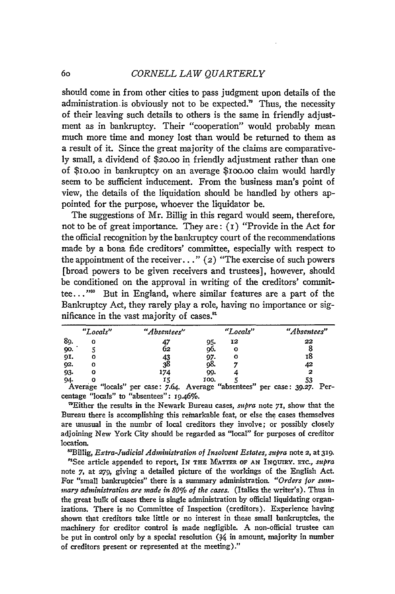should come in from other cities to pass judgment upon details of the administration is obviously not to be expected." Thus, the necessity of their leaving such details to others is the same in friendly adjustment as in bankruptcy. Their "cooperation" would probably mean much more time and money lost than would be returned to them as a result of it. Since the great majority of the claims are comparatively small, a dividend of \$20.00 in friendly adjustment rather than one of \$io.oo in bankruptcy on an average \$Ioo.oo claim would hardly seem to be sufficient inducement. From the business man's point of view, the details of the liquidation should be handled by others appointed for the purpose, whoever the liquidator be.

The suggestions of Mr. Billig in this regard would seem, therefore, not to be of great importance. They are:  $(i)$  "Provide in the Act for the official recognition by the bankruptcy court of the recommendations made by a bona fide creditors' committee, especially with respect to the appointment of the receiver. **. ."** (2) "The exercise of such powers [broad powers to be given receivers and trustees], however, should be conditioned on the approval in writing of the creditors' committee. **. . "'** But in England, where similar features are a part of the Bankruptcy Act, they rarely play a role, having no importance or significance in the vast majority of cases.<sup>81</sup>

|     | "Locals" | "Absentees" | "Locals"                      | "Absentees" |
|-----|----------|-------------|-------------------------------|-------------|
| 89. | ο        | 47          | 12<br>95.                     | 22          |
| 90. |          | 02          | 96.<br>o                      |             |
| 91. | O        |             | 97.                           | 18          |
| 92. | о        | 43<br>38    | ο8.                           | 42          |
| 93. | 0        | 174         | 99.                           | 2           |
| 94. | .<br>    | 15          | 100.<br>$\bullet$<br>$\cdots$ | 53<br>–     |

Average "locals" per case: 7.64. Average "absentees" per case: **39.27.** Percentage "locals" to "absentees": 19.46%.

'Either the results in the Newark Bureau cases, *supra* note **71,** show that the Bureau there is accomplishing this remarkable feat, or else the cases themselves are unusual in the numbr of local creditors they involve; or possibly closely adjoining New York City should be regarded as "local" for purposes of creditor location.

"Billig, *Extra-Judicial Administration of Insolvent Estates, supra* note **2,** at **319.**

"See article appended to report, IN **THE MATTER OF AN INQUIRY.** ETc., *supra* note 7, at **279,** giving a detailed picture of the workings of the English Act. For "small bankruptcies" there is a summary administration. *"Orders for smmary administration are made in 80% of the cases.* (Italics the writer's). Thus in the great bulk of cases there is single administration by official liquidating organizations. There is no Committee of Inspection (creditors). Experience having shown that creditors take little or no interest in these small bankruptcies, the machinery for creditor control is made negligible. A non-official trustee can be put in control only by a special resolution  $(3/4)$  in amount, majority in number of creditors present or represented at the meeting)."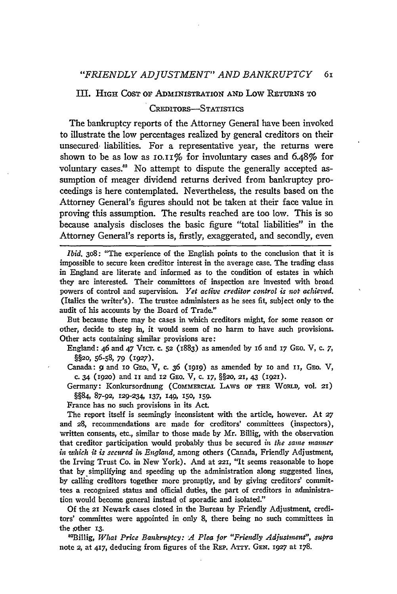#### III. **HIGH** COST OF ADMINISTRATION AND Low RETURNS TO

#### CREDITORS-STATISTICS

The bankruptcy reports of the Attorney General have been invoked to illustrate the low percentages realized by general creditors on their unsecured, liabilities. For a representative year, the returns were shown to be as low as  $10.11\%$  for involuntary cases and 6.48% for voluntary cases.<sup>82</sup> No attempt to dispute the generally accepted assumption of meager dividend returns derived from bankruptcy proceedings is here contemplated. Nevertheless, the results based on the Attorney General's figures should not be taken at their face value in proving this assumption. The results reached are too low. This is so because analysis discloses the basic figure "total liabilities" in the Attorney General's reports is, firstly, exaggerated, and secondly, even

*Ibid.* **308:** "The experience of the English points to the conclusion that it is impossible to secure keen creditor interest in the average case. The trading class in England are literate and informed as to the condition of estates in which they are interested. Their committees of inspection are invested with broad powers of control and supervision. *Yet active creditor control is iwt achieved.* (Italics the writer's). The trustee administers as he sees fit, subject only to the audit of his accounts **by** the Board of Trade."

But because there may be cases in which creditors might, for some reason or other, decide to step in, it would seem of no harm to have such provisions. Other acts containing similar provisions are:

England: 46 and *47* Vicr. c. **52** (1883) as amended **by** 16 and 17 GEo. V, c. *7,* §§20, **56-58, 79** (1927).

Canada: 9 and 10 GEO. V, c. 36 (1919) as amended by 10 and 11, GEO. V, c. 34 (i92o) and **ii** and **12** GFO. V, **c.** 17, **§§2,** *21,* 43 **(1921).**

Germany: Konkursordnung (COMMERCIAL LAWS OF **THE** WORLD, Vol. **21)** §§84, **87-92,** 129-234, 137, 149, 150, **159.**

France has no such provisions in its Act.

The report itself is seemingly inconsistent with the article, however. At **27** and 28, recommendations are made for creditors' committees (inspectors), written consents, etc., similar to those made by Mr. Billig, with the observation that creditor participation would probably thus be secured *in the same manner* in which it is secured in England, among others (Canada, Friendly Adjustment, the Irving Trust Co. in New York). And at 221, "It seems reasonable to hope that by simplifying and speeding up the administration along suggested lines, by calling creditors together more promptly, and by giving creditors' committees a recognized status and official duties, the part of creditors in administration would become general instead of sporadic and isolated."

Of the 21 Newark cases closed in the Bureau by Friendly Adjustment, creditors' committes were appointed in only 8, there being no such committees in the ,other **13.**

'Billig, *What Price Bankruptcy: A Plea for "Friendly Adjustment", supra* note **2,** at 417, deducing from figures of the REP. ATTY. **GEN.** 1927 at 178.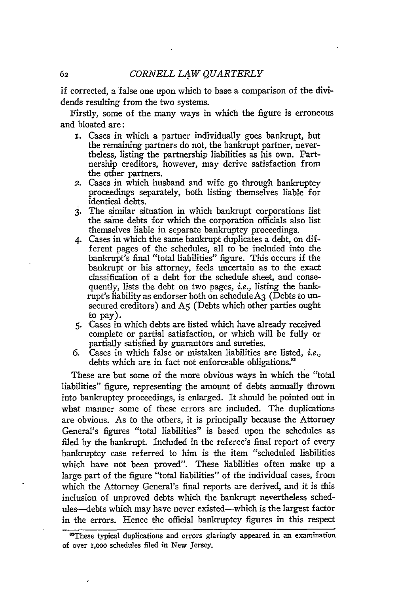if corrected, a false one upon which to base a comparison of the dividends resulting from the two systems.

Firstly, some of the many ways in which the figure is erroneous and bloated are:

- i. Cases in which a partner individually goes bankrupt, but the remaining partners do not, the bankrupt partner, nevertheless, listing the partnership liabilities as his own. Partnership creditors, however, may derive satisfaction from the other partners.
- 2. Cases in which husband and wife go through bankruptcy proceedings separately, both listing themselves liable for identical debts.
- 3. The similar situation in which bankrupt corporations list the same debts for which the corporation officials also list themselves liable in separate bankruptcy proceedings.
- 4. Cases in which the same bankrupt duplicates a debt, on different pages of the schedules, all to be included into the bankrupt's final "total liabilities" figure. This occurs if the bankrupt or his attorney, feels uncertain as to the exact classification of a debt for the schedule sheet, and consequently, lists the debt on two pages, *i.e.,* listing the bankrupt's liability as endorser both on scheduleA3 (Debts to unsecured creditors) and A<sub>5</sub> (Debts which other parties ought to pay).
- *5.* -Cases in which debts are listed which have already received complete or partial satisfaction, or which will be fully or partially satisfied by guarantors and sureties.
- 6. Cases in which false or mistaken liabilities are listed, *i.e.,* debts which are in fact not enforceable obligations.'

These are but some of the more obvious ways in which the "total liabilities" figure, representing the amount of debts annually thrown into bankruptcy proceedings, is enlarged. It should be pointed out in what manner some of these errors are included. The duplications are obvious. As to the others, it is principally because the Attorney General's figures "total liabilities" is based upon the schedules as filed by the bankrupt. Included in the referee's final report of every bankruptcy case referred to him is the item "scheduled liabilities which have not been proved". These liabilities often make up a large part of the figure "total liabilities" of the individual cases, from which the Attorney General's final reports are derived, and it is this inclusion of unproved debts which the bankrupt nevertheless schedules-debts which may have never existed-which is the largest factor in the errors. Hence the official bankruptcy figures in this respect

<sup>&</sup>lt;sup>88</sup>These typical duplications and errors glaringly appeared in an examination of over i,ooo schedules filed in New Jersey.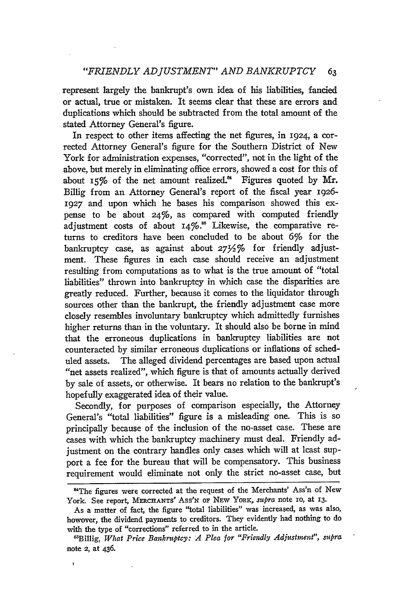represent largely the bankrupt's own idea of his liabilities, fancied or actual, true or mistaken. It seems clear that these are errors and duplications which should be subtracted from the total amount of the stated Attorney General's figure.

In respect to other items affecting the net figures, in 1924, a corrected Attorney General's figure for the Southern District of New York for administration expenses, "corrected", not in the light of the above, but merely in eliminating office errors, showed a cost for this of about **15%** of the net amount realized.<sup>84</sup> Figures quoted by Mr. Billig from an Attorney General's report of the fiscal year **1926-** 1927 and upon which he bases his comparison showed this expense to be about 24%, as compared with computed friendly adjustment costs of about **I4%."** Likewise, the comparative returns to creditors have been concluded to be about 6% for the bankruptcy case, as against about **2732%** for friendly adjustment. These figures in each case should receive an adjustment resulting from computations as to what is the true amount of "total liabilities" thrown into bankruptcy in which case the disparities are greatly reduced. Further, because it comes to the liquidator through sources other than the bankrupt, the friendly adjustment case more closely resembles involuntary bankruptcy which admittedly furnishes higher returns than in the voluntary. It should also be borne in mind that the erroneous duplications in bankruptcy liabilities are not counteracted by similar erroneous duplications or inflations of scheduled assets. The alleged dividend percentages are based upon actual "net assets realized", which figure is that of amounts actually derived by sale of assets, or otherwise. It bears no relation to the bankrupt's hopefully exaggerated idea of their value.

Secondly, for purposes of comparison especially, the Attorney General's "total liabilities" figure is a misleading one. This is so principally because of the inclusion of the no-asset case. These are cases with which the bankruptcy machinery must deal. Friendly adjustment on the contrary handles only cases which will at least support a fee for the bureau that will be compensatory. This business requirement would eliminate not only the strict no-asset case, but

 $\mathbf{I}$ 

<sup>&</sup>lt;sup>84</sup>The figures were corrected at the request of the Merchants' Ass'n of New York. See report, **MERCHANTs' Ass'N OF NEW YORK,** *supra* note io, at **13.**

As a matter of fact, the figure "total liabilities" was increased, as was also, howover, the dividend payments to creditors. They evidently had nothing to do with the type of "corrections" referred to in the article.

<sup>&</sup>quot;Billig, *What Price Bankruptcy: A Plea for "Friendly Adjustment", supra* note **2,** at 436.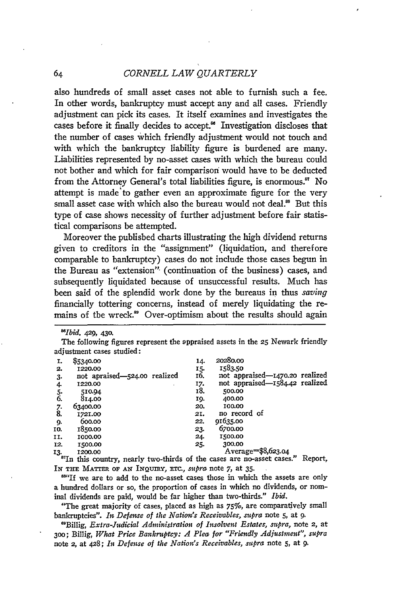# *CORNELL LAW QUARTERLY*

also hundreds of small asset cases not able to furnish such a fee. In other words, bankruptcy must accept any and all cases. Friendly adjustment can pick its cases. It itself examines and investigates the cases before it finally decides to accept.<sup>86</sup> Investigation discloses that the number of cases which friendly adjustment would not touch and with which the bankruptcy liability figure is burdened are many. Liabilities represented by no-asset cases with which the bureau could not bother and which for fair comparison would have to be deducted from the Attorney General's total liabilities figure, is enormous.<sup>87</sup> No attempt is made'to gather even an approximate figure for the very small asset case with which also the bureau would not deal.<sup>88</sup> But this type of case shows necessity of further adjustment before fair statistical comparisons be attempted.

Moreover the published charts illustrating the high dividend returns given to creditors in the "assignment" (liquidation, and therefore comparable to bankruptcy) cases do not include those cases begun in the Bureau as "extension" (continuation of the business) cases, and subsequently liquidated because of unsuccessful results. Much has been said of the splendid work done by the bureaus in thus *saving* financially tottering concerns, instead of merely liquidating the remains of the wreck.<sup>89</sup> Over-optimism about the results should again

*T 0lbid.* **429,** 430.

The following figures represent the appraised assets in the 25 Newark friendly adjustment cases studied:

| 1.                            | \$5340.00                    | 14. | 20280.00                       |
|-------------------------------|------------------------------|-----|--------------------------------|
| 2.                            | 1220.00                      | 15. | 1583.50                        |
| 3.                            | not apraised—524.00 realized | 16. | not appraised—1470.20 realized |
| 4.                            | 1220.00                      | 17. | not appraised-1584.42 realized |
|                               | 510.94                       | 18. | 500.00                         |
| $\frac{5}{6}$                 | 814.00                       | IQ. | 400.00                         |
|                               | 63400.00                     | 20. | 100.00                         |
| $\overline{\overset{7}{8}}$ . | 1721.00                      | 21. | no record of                   |
| 9.                            | 600.00                       | 22. | 91635.00                       |
| IO.                           | 1850.00                      | 23. | 6700.00                        |
| 11.                           | 1000.00                      | 24. | 1500.00                        |
| 12.                           | 1500.00                      | 25. | 300.00                         |
| 13.                           | 1200.00                      |     | Average=\$8,623.04             |
|                               |                              |     |                                |

<sup>8</sup>In this country, nearly two-thirds of the cases are no-asset cases." Report, IN THE MATTER OF **AN** INQUIRY, ETC., *stupra* note *7,* at 35.

<sup>884</sup>If we are to add to the no-asset cases those in which the assets are only a hundred dollars or so, the proportion of cases in which no dividends, or nominal dividends are paid, would be far higher than two-thirds." *Ibid.*

"The great majority of cases, placed as high as 75%, are comparatively small bankruptcies". *It Defense of the Nation's Receivables, supra* note 5, at **9.**

'Billig, *Extra-Judicial Administration of Insolvent Esbates, supra,* note 2, at **300;** Billig, *What Price Bankruptcy: A Plea for "Friendly Adjustment", supra* note 2, at 428; **it** *Defense of the Nation's Receivables, supra* note 5, at 9.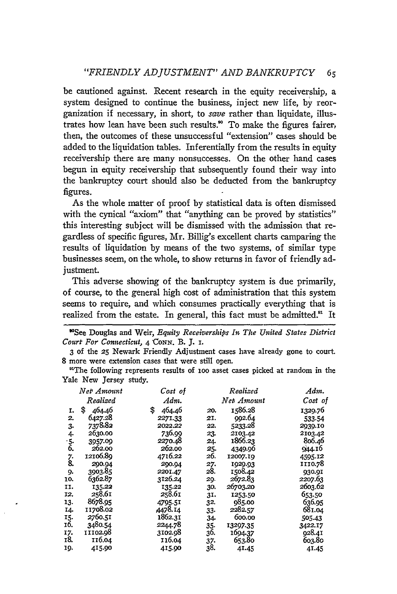be cautioned against. Recent research in the equity receivership, a system designed to continue the business, inject new life, **by** reorganization if necessary, in short, to save rather than liquidate, illustrates how lean have been such results.<sup>80</sup> To make the figures fairer, then, the outcomes of these unsuccessful "extension" cases should be added to the liquidation tables. Inferentially from the results in equity receivership there are many nonsuccesses. On the other hand cases begun in equity receivership that subsequently found their way into the bankruptcy court should also be deducted from the bankruptcy figures.

As the whole matter of proof by statistical data is often dismissed with the cynical "axiom" that "anything can be proved by statistics" this interesting subject will be dismissed with the admission that regardless of specific figures, Mr. Billig's excellent charts camparing the results of liquidation by means of the two systems. of similar type businesses seem, on the whole, to show returns in favor of friendly adjustment.

This adverse showing of the bankruptcy system is due primarily, of course, to the general high cost of administration that this system seems to require, and which consumes practically everything that is realized from the estate. In general, this fact must be admitted.<sup>91</sup> It

"See Douglas and Weir, *Equity Receiverships In The United States District Court For Connecticut, 4 CoNN.* B. **J. i.**

**3** of the **25** Newark Friendly Adjustment cases have already gone to court. **8** more were extension cases that were still open.

"The following represents results of ioo asset cases picked at random in the Yale New Jersey study.

|               | Net <sup>,</sup> Amount | Cost of      |     | Realized   | Adm.    |
|---------------|-------------------------|--------------|-----|------------|---------|
|               | Realized                | Adm.         |     | Net Amount | Cost of |
| 1.            | \$<br>464.46            | \$<br>464.46 | 20. | 1586.28    | 1329.76 |
| 2.            | 6427.28                 | 2271.33      | 21. | 992.64     | 533-54  |
| з.            | 7378.82                 | 2022.22      | 22. | 5233.28    | 2939.10 |
| 4             | 2630.00                 | 736.99       | 23. | 2103.42    | 2103.42 |
|               | 3957.09                 | 2270.48      | 24. | 1866.23    | 806.46  |
| $\frac{5}{6}$ | 262.00                  | 262.00       | 25. | 4349.96    | 944.16  |
|               | 12106.89                | 4716.22      | 26. | 12007.19   | 4595.12 |
| $\frac{7}{8}$ | 200.04                  | 200.04       | 27. | 1029.93    | 1110.78 |
| 9.            | 3903.85                 | 2201.47      | 28. | 1508.42    | 930.9I  |
| 10.           | 6362.87                 | 3126.24      | 29. | 2672.83    | 2207.63 |
| II.           | 135.22                  | 135.22       | 30. | 26703.20   | 2603.62 |
| 12,           | 258.61                  | 258.61       | 31. | 1253.50    | 653.50  |
| 13.           | 8678.95                 | 4795.51      | 32. | 985.00     | 636.95  |
| 14.           | 11708.02                | A478.14      | 33. | 2282.57    | 681.04  |
| 15.           | 2760.51                 | 1862.31      | 34. | 600.00     | 505.43  |
| 16.           | 3480.54                 | 2244.78      | 35. | 13297.35   | 3422.17 |
| 17.           | 11102.98                | 3102.98      | 36. | 1694.37    | 928.41  |
| 18.           | 116.04                  | 116.04       | 37. | 653.80     | 603.80  |
| 19.           | 415.90                  | 415.90       | 38. | 41.45      | 41.45   |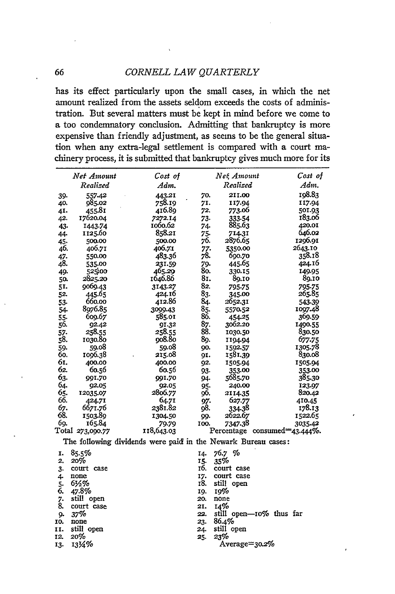#### *CORNELL LAW QUARTERLY*

has its effect particularly upon the small cases, in which the net amount realized from the assets seldom exceeds the costs of administration. But several matters must be kept in mind before we come to a too condemnatory conclusion. Admitting that bankruptcy is more expensive than friendly adjustment, as seems to be the general situation when any extra-legal settlement is compared with a court machinery process, it is submitted that bankruptcy gives much more for its

|     | Net Amount       | Cost of                                                       |             | Net, Amount                  | Cost of |
|-----|------------------|---------------------------------------------------------------|-------------|------------------------------|---------|
|     | Realized         | Adm.                                                          |             | Realized                     | Adm.    |
| 39. | 557-42           | 443.21                                                        | 70.         | 2II.00                       | 198.83  |
| 40. | 985.02           | 758.19                                                        | 71.         | 117.94                       | 117.94  |
| 41. | 455.81           | 416.89                                                        | 72.         | 773.06                       | 501.93  |
| 42. | 17620.04         | 7272.14                                                       | 73.         | 333-54                       | 183.06  |
| 43. | 1443.74          | 1060.62                                                       | 74.         | 885.63                       | 420.0I  |
| 44. | 1125.60          | 858.21                                                        | 75.         | 714.31                       | 646.02  |
| 45. | 500.00           | 500.00                                                        | 76.         | 2876.65                      | 1296.91 |
| 46. | 406.71           | 406.71                                                        | 77.         | 5350.00                      | 2643.10 |
| 47. | 550.00           | 483.36                                                        | 78.         | 690.70                       | 358.18  |
| 48. | 535.00           | 231.59                                                        | 79.         | 445.65                       | 424.16  |
| 49. | 525.00           | 465.29                                                        | 80.         | 330.15                       | 149.95  |
| 50. | 2825.20          | 1646.86                                                       | 81.         | 89.IO                        | 89.10   |
| 51. | 9069.43          | 3143.27                                                       | 82.         | 795.75                       | 795.75  |
| 52. | 445.65           | 424.16                                                        | 83.         | 345.00                       | 265.85  |
| 53. | 660.00           | 412.86                                                        | 84.         | 2652.31                      | 543-39  |
| 54. | 8976.85          | 3099.43                                                       | 85.         | 5570.52                      | 1097.48 |
| 55. | 609.67           | 585.01                                                        | 86.         | 454.25                       | 369.59  |
| 56. | 92.42            | 91.32                                                         | 87.         | 3062.20                      | 1490.55 |
| 57. | 258.55           | 258.55                                                        | 88.         | 1030.50                      | 830.50  |
| 58. | 1030.80          | 908.80                                                        | 89.         | 1194.94                      | 677.75  |
| 59. | 59.08            | 59.08                                                         | 90.         | 1592.57                      | 1305.78 |
| 60. | 1096.38          | 215.08                                                        | 9I.         | 1581.39                      | 830.08  |
| 61. | 400.00           | 400.00                                                        | 92.         | 1505.94                      | 1505.94 |
| 62. | 60.56            | 60.56                                                         | 93.         | 353.00                       | 353.00  |
| 63. | 991.70           | 991.70                                                        | 94.         | 5685.70                      | 385.30  |
| 64. | 92.05            | 92.05                                                         | 95.         | 240.00                       | 123.97  |
| 65. | 12035.07         | 2806.77                                                       | 96.         | 2114.35                      | 820.42  |
| 66. | 424.71           | 64.71                                                         | 97.         | 627.77                       | 410.45  |
| 67. | 6671.76          | 2381.82                                                       | 98.         | 334.38                       | 178.13  |
| 68. | 1503.89          | 1304.50                                                       | 99.         | 2622.67                      | 1522.65 |
| 69. | 165.84           | 79.79                                                         | <b>100.</b> | 7347.38                      | 3035.42 |
|     | Total 273,090.77 | 118,643.03                                                    |             | Percentage consumed=43.444%. |         |
|     |                  | The following dividends were paid in the Newark Bureau cases: |             |                              |         |
| I.  | 85.5%            |                                                               | 14.         | 76.7 %                       |         |
| 2.  | 20%              |                                                               | 15.         | 35%                          |         |
| 3.  | court case       |                                                               | 16.         | court case                   |         |
| 4.  | none             |                                                               | 17.         | court case                   |         |
| 5.  | 6½%              |                                                               | 18.         | still open                   |         |
| 6.  | 47.8%            |                                                               | 19.         | 19%                          |         |
| 7.  | still open       |                                                               | 20.         | none                         |         |
| 8.  | court case       |                                                               | 21.         | 14%                          |         |
| g.  | 37%              |                                                               | 22.         | still open-10% thus far      |         |
| 10. | none             |                                                               | 23.         | 86.4%                        |         |
| 11. | still open       |                                                               | 24.         | still open                   |         |
| 12. | 20%              |                                                               | 25.         | 23%                          |         |
| 13. | 1314%            |                                                               |             | Average=30.2%                |         |
|     |                  |                                                               |             |                              |         |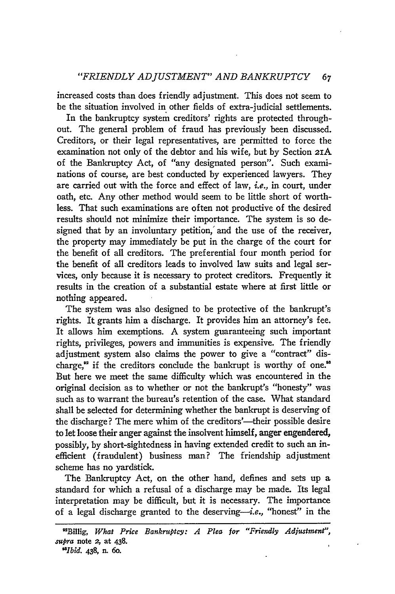#### *"FRTENDLY ADJUSTMENT" AND BANKRUPTCY 67*

increased costs than does friendly adjustment. This does not seem to be the situation involved in other fields of extra-judicial settlements.

In the bankruptcy system creditors' rights are protected throughout. The general problem of fraud has previously been discussed. Creditors, or their legal representatives, are permitted to force the examination not only of the debtor and his wife, but by Section 21A of the Bankruptcy Act, of "any designated person". Such examinations of course, are best conducted by experienced lawyers. They are carried out with the force and effect of law, *i.e.,* in court, under oath, etc. Any other method would seem to be little short of worthless. That such examinations are often not productive of the desired results should not minimize their importance. The system is so designed that by an involuntary petition, and the use of the receiver, the property may immediately be put in the charge of the court for the benefit of all creditors. The preferential four month period for the benefit of all creditors leads to involved law suits and legal services, only because it is necessary to protect creditors. Frequently it results in the creation of a substantial estate where at first little or nothing appeared.

The system was also designed to be protective of the bankrupt's rights. It grants him a discharge. It provides him an attorney's fee. It allows him exemptions. A system guaranteeing such important rights, privileges, powers and immunities is expensive. The friendly adjustment system also claims the power to give a "contract" discharge, $^{\infty}$  if the creditors conclude the bankrupt is worthy of one. $^{\infty}$ But here we meet the same difficulty which was encountered in the original decision as to whether or not the bankrupt's "honesty" was such as to warrant the bureau's retention of the case. What standard shall be selected for determining whether the bankrupt is deserving of the discharge? The mere whim of the creditors'—their possible desire to let loose their anger against the insolvent himself, anger engendered, possibly, by short-sightedness in having extended credit to such an inefficient (fraudulent) business man? The friendship adjustment scheme has no yardstick.

The Bankruptcy Act, on the other hand, defines and sets up a standard for which a refusal of a discharge may be made. Its legal interpretation may be difficult, but it is necessary. The importance of a legal discharge granted to the deserving-i.e., "honest" in the

<sup>&</sup>quot;Billig, *What Price Bankruptcy: A Plea for "Friendly Adjustment", supra* note **2,** at 438.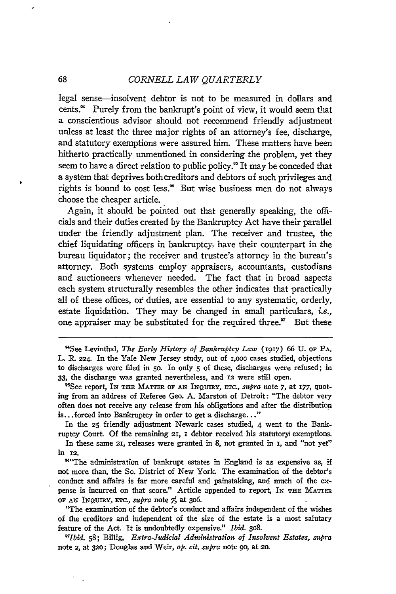68 *CORNELL LAW QUARTERLY*

legal sense-insolvent debtor is not to be measured in dollars and cents." Purely from the bankrupt's point of view, it would seem that a conscientious advisor should not recommend friendly adjustment unless at least the three major rights of an attorney's fee, discharge, and statutory exemptions were assured him. These matters have been hitherto practically unmentioned in considering the problem, yet they seem to have a direct relation to public policy.<sup>85</sup> It may be conceded that a system that deprives bothcreditors and debtors of such privileges and rights is bound to cost less.<sup>86</sup> But wise business men do not always choose the cheaper article.

Again, it should be pointed out that generally speaking, the officials and their duties created **by** the Bankruptcy Act have their parallel under the friendly adjustment plan. The receiver and trustee, the chief liquidating officers in bankruptcy, have their counterpart in the bureau liquidator; the receiver and trustee's attorney in the bureau's attorney. Both systems employ appraisers, accountants, custodians and auctioneers whenever needed. The fact that in broad aspects each system structurally resembles the other indicates that practically all of these offices, of duties, are essential to any systematic, orderly, estate liquidation. They may be changed in small particulars, *i.e.,* one appraiser may be substituted for the required three. $"$  But these

'See report, IN THE MATTER OF **AN** IxQUIRY, Erc., *supra* note **7,** at **177,** quoting from an address of Referee Geo. A. Marston of Detroit: "The debtor very often does not receive any release from his obligations and after the distribution is.. .forced into Bankruptcy in order to get a discharge..."

In the **25** friendly adjustment Newark cases studied, 4 went to the Bankruptcy Court. Of the remaining 21, **I** debtor received his statutoryi exemptions.

In these same 21, releases were granted in **8,** not granted in **I,** and "not yet" in **12.**

<sup>94</sup> The administration of bankrupt estates in England is as expensive as, if not more than, the So. District of New York. The examination of the debtor's conduct and affairs is far more careful and painstaking, and much of the expense is incurred on that score." Article appended to report, **IN THE MATTER OF AN INQUIRY, ETC.,** *supra* note *7,* at **306.**

"The examination of the debtor's conduct and affairs independent of the wishes of the creditors and independent of the size **of** the estate is a most salutary feature of the Act. It is undoubtedly expensive." *Ibid.* **308.**

*97Ibid.* 58; Billig, *Extra-Judicial Administration of Insolvent Estates, supra* note 2, at **320;** Douglas and Weir, *op. cit. supra* note go, at **20.**

<sup>&</sup>quot;See Levinthal, *The Early History of Bankruptcy Law* (1917) 66 **U.** OF **PA.** L. R. 224. In the Yale New Jersey study, out of 1,000 cases studied, objections to discharges were filed in **50.** In only **5** of these, discharges were refused; in 33, the discharge was granted nevertheless, and **12** were still open.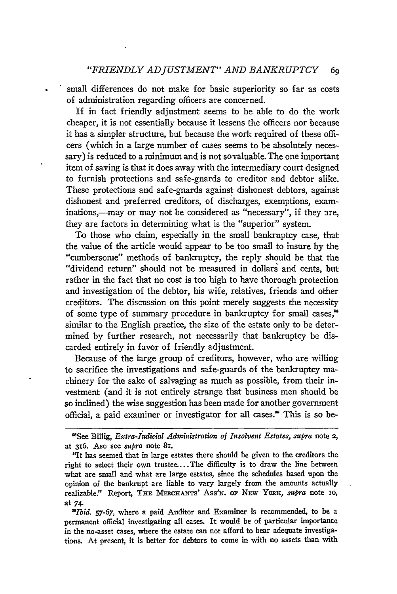small differences do not make for basic superiority so far as costs of administration regarding officers are concerned.

If in fact friendly adjustment seems to be able to do the work cheaper, it is not essentially because it lessens the officers nor because it has a simpler structure, but because the work required of these officers (which in a large number of cases seems to be absolutely necessary) is reduced to a minimum and is not sovaluable. The one important item of saving is that it does away with the intermediary court designed to furnish protections and safe-gnards to creditor and debtor alike. These protections and safe-gnards against dishonest debtors, against dishonest and preferred creditors, of discharges, exemptions, examinations,—may or may not be considered as "necessary", if they are, they are factors in determining what is the "superior" system.

To those who claim, especially in the small bankruptcy case, that the value of the article would appear to be too small to insure by the "cumbersome" methods of bankruptcy, the reply should be that the "dividend return" should not be measured in dollars and cents, but rather in the fact that no cost is too high to have thorough protection and investigation of the debtor, his wife, relatives, friends and other creditors. The discussion on this point merely suggests the necessity of some type of summary procedure in bankruptcy for small cases.<sup>88</sup> similar to the English practice, the size of the estate only to be determined by further research, not necessarily that bankruptcy be discarded entirely in favor of friendly adjustment.

Because of the large group of creditors, however, who are willing to sacrifice the investigations and safe-guards of the bankruptcy machinery for the sake of salvaging as much as possible, from their investment (and it is not entirely strange that business men should be so inclined) the wise suggestion has been made for another government official, a paid examiner or investigator for all cases.<sup>®</sup> This is so be-

*"Ibid. 57-67,* where a paid Auditor and Examiner is recommended, to be a permanent official investigating all cases. It would be of particular importance in the no-asset cases, where the estate **can** not afford to bear adequate investigations. At present, it is better for debtors to come in with no assets than with

<sup>&</sup>quot;See Billig, *Extra-Judicial Administration of Iisolvent Estates, supra* note **2, at** 316. Aso see *supra* note 81.

<sup>&</sup>quot;It has seemed that in large estates there should be given to the creditors the right to select their own trustee....The difficulty is to draw the line between what are small and what are large estates, since the schedules based upon the opinion of the bankrupt are liable to vary largely from the amounts actually realizable." Report, Txz MERCHANTS' ASS'N. OF NEw YORK, *supra* note **10,** at 74.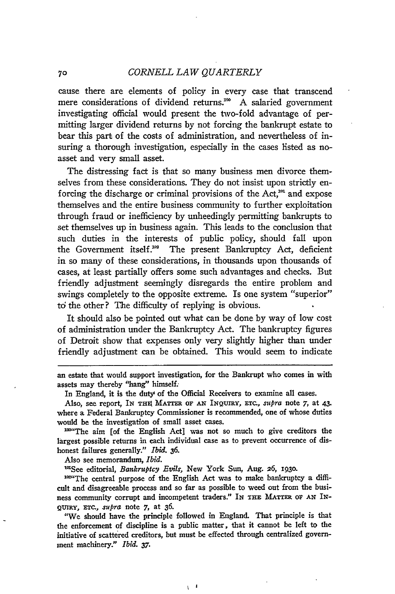cause there are elements of policy in every case that transcend mere considerations of dividend returns.<sup>100</sup> A salaried government investigating official would present the two-fold advantage of permitting larger dividend returns by not forcing the bankrupt estate to bear this part of the costs of administration, and nevertheless of insuring a thorough investigation, especially in the cases listed as noasset and very small asset.

The distressing fact is that so many business men divorce themselves from these considerations. They do not insist upon strictly enforcing the discharge or criminal provisions of the Act, $^{101}$  and expose themselves and the entire business community to further exploitation through fraud or inefficiency by unheedingly permitting bankrupts to set themselves up in business again. This leads to the conclusion that such duties in the interests of public policy, should fall upon the Government itself.<sup>302</sup> The present Bankruptcy Act, deficient in so many of these considerations, in thousands upon thousands of cases, at least partially offers some such advantages and checks. But friendly adjustment seemingly disregards the entire problem and swings completely to the opposite extreme. Is one system "superior" to the other? The difficulty of replying is obvious.

It should also be pointed out what can be done by way of low cost of administration under the Bankruptcy Act. The bankruptcy figures of Detroit show that expenses only very slightly higher than under friendly adjustment can be obtained. This would seem to indicate

In England, it is the duty' of the Official Receivers to examine all cases.

largest possible returns in each individual case as to prevent occurrence of dishonest failures generally." *Ibid.* **36.**

Also see memorandum, *Ibid.*

<sup>101</sup>See editorial, *Bankruptcy Evils*, New York Sun, Aug. 26, 1930.

102"The central purpose of the English Act was to make bankruptcy a difficult and disagreeable process and so far as possible to weed out from the business community corrupt and incompetent traders." IN **THE MATTER OF AN** IN-QUrRY, **ETc.,** *supra* note **7,** at **36.**

"We should have the principle followed in England. That principle is that the enforcement of discipline is a public matter, that it cannot be left to the initiative of scattered creditors, but must be effected through centralized government machinery." *Ibid. 37.*

 $\sqrt{1}$ 

an estate that would support investigation, for the Bankrupt who comes in with assets may thereby "hang" himself.

Also, see report, **IN** THIA MATTER OF **AN** INQUIRY, ETC, *supra* note 7, at 43. where a Federal Bankruptcy Commissioner is recommended, one of whose duties would be the investigation of small asset cases.<br><sup>100</sup>"The aim [of the English Act] was not so much to give creditors the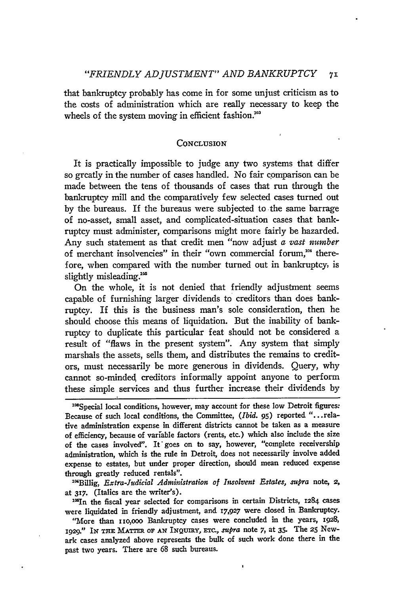that bankruptcy probably has come in for some unjust criticism as to the costs of administration which are really necessary to keep the wheels of the system moving in efficient fashion.<sup>103</sup>

#### **CONCLUSION**

It is practically impossible to judge any two systems that differ so greatly in the number of cases handled. No fair comparison can be made between the tens of thousands of cases that run through the bankruptcy mill and the comparatively few selected cases turned out by the bureaus. If the bureaus were subjected to the same barrage of no-asset, small asset, and complicated-situation cases that bankruptcy must administer, comparisons might more fairly be hazarded. Any such statement as that credit men "now adjust *a vast number* of merchant insolvencies" in their "own commercial forum,<sup>104</sup> therefore, when compared with the number turned out in bankruptcy, is slightly misleading.<sup>105</sup>

On the whole, it is not denied that friendly adjustment seems capable of furnishing larger dividends to creditors than does bankruptcy. If this is the business man's sole consideration, then he should choose this means of liquidation. But the inability of bankruptcy to duplicate this particular feat should not be considered a result of "flaws in the present system". Any system that simply marshals the assets, sells them, and distributes the remains to creditors, must necessarily be more generous in dividends. Query, why cannot so-minded creditors informally appoint anyone to perform these simple services and thus further increase their dividends by

108 Special local conditions, however, may account for these low Detroit figures: Because of such local conditions, the Committee, *(Ibid.* **95)** reported "...relative administration expense in different districts cannot be taken as a measure of efficiency, because of variable factors (rents, etc.) which also include the size of the cases involved". It goes on to say, however, "complete receivership administration, which is the rule in Detroit, does not necessarily involve added expense to estates, but under proper direction, should mean reduced expense through greatly reduced rentals".

<sup>104</sup>Billig, *Extra-Judicial Administration of Insolvent Estates, supra* note, 2, at **317.** (Italics are the writer's).

<sup>108</sup>In the fiscal year selected for comparisons in certain Districts, 1284 cases were liquidated in friendly adjustment, and **17,927** were closed in Bankruptcy.

'More than zio,ooo Bankruptcy cases were concluded in the years, **1928, 1929." IN THE** MATTER **OF AN INQuiRY, ETc.,** *supra* note **7,** at **35.** The **25** Newark cases analyzed above represents the bulk of such work done there in the past two years. There are **68** such bureaus.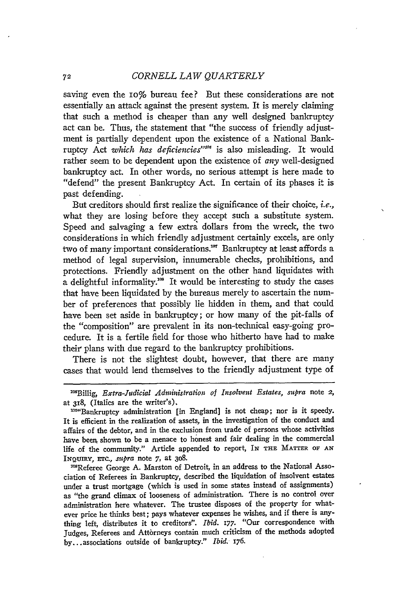saving even the 10% bureau fee? But these considerations are not essentially an attack against the present system. It is merely claiming that such a method is cheaper than any well designed bankruptcy act can be. Thus, the statement that "the success of friendly adjustment is partially dependent upon the existence of a National Bankruptcy Act *which has deficiencies*"<sup>106</sup> is also misleading. It would rather seem to be dependent upon the existence of *any* well-designed bankruptcy act. In other words, no serious attempt is here made to "defend" the present Bankruptcy Act. In certain of its phases it is past defending.

But creditors should first realize the significance of their choice, i.e., what they are losing before they accept such a substitute system. Speed and salvaging a few extra dollars from the wreck, the two considerations in which friendly adjustment certainly excels, are only two of many important considerations." Bankruptcy at least affords a method of legal supervision, innumerable checks, prohibitions, and protections. Friendly adjustment on the other hand liquidates with  $\alpha$  delightful informality.<sup>108</sup> It would be interesting to study the cases that have been liquidated by the bureaus merely to ascertain the number of preferences that possibly lie hidden in them, and that could have been set aside in bankruptcy; or how many of the pit-falls of the "composition" are prevalent in its non-technical easy-going procedure. It is a fertile field for those who hitherto have had to make their plans with due regard to the bankruptcy prohibitions.

There is not the slightest doubt, however, that there are many cases that would lend themselves to the friendly adjustment type of

108Referee George A. Marston of Detroit, in an address to the National Association of Referees in Bankruptcy, described the liquidation of insolvent estates under a trust mortgage (which is used in some states instead of assignments) as "the grand climax of looseness of administration. There is no control over administration here whatever. The trustee disposes of the property for whatever price he thinks best; pays whatever expenses he wishes, and if there is anything left, distributes it to creditors". *Ibid.* 177. "Our correspondence with Judges, Referees and Attòrneys contain much criticism of the methods adopted by... associations outside of bankruptcy." *Ibid.- 176.*

<sup>&</sup>lt;sup>108</sup>Billig, *Extra-Judicial Administration of Insolvent Estates, supra* note 2, at 318, (Italics are the writer's).

<sup>&#</sup>x27;w"Bankruptcy administration [in England] is not cheap; nor is it speedy. It is efficient in the realization of assets, in the investigation of the conduct and affairs of the debtor, and in the exclusion from trade of persons whose activities have been, shown to be a menace to honest and fair dealing in the commercial life of the community." Article appended to report, IN **THE** MATTER OF **AN** INQUIRY, **ETC.,** *sumpra* note **7,** at 308.